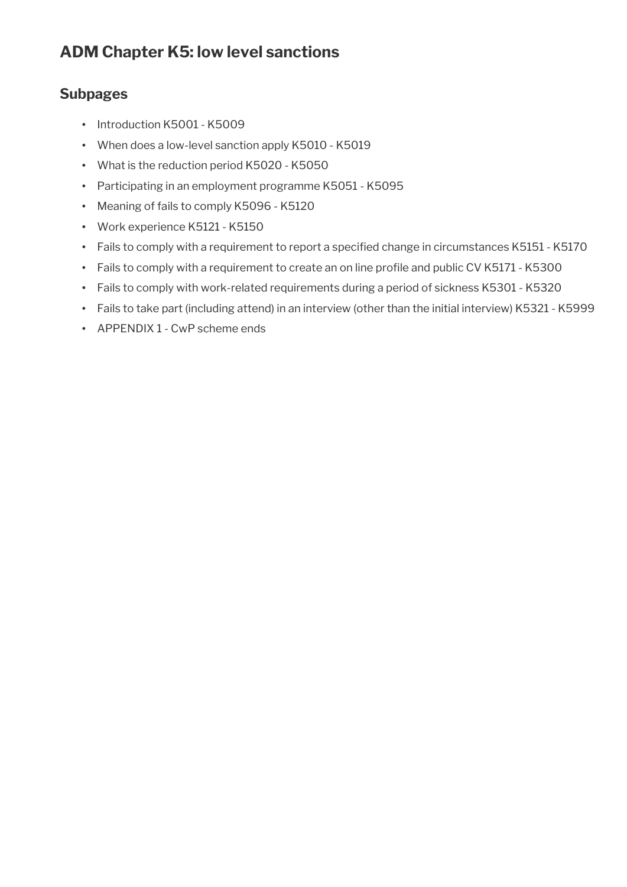# **ADM Chapter K5: low level sanctions**

## **Subpages**

- Introduction K5001 K5009
- When does a low-level sanction apply K5010 K5019
- What is the reduction period K5020 K5050
- Participating in an employment programme K5051 K5095
- Meaning of fails to comply K5096 K5120
- Work experience K5121 K5150
- Fails to comply with a requirement to report a specifed change in circumstances K5151 K5170
- Fails to comply with a requirement to create an on line profle and public CV K5171 K5300
- Fails to comply with work-related requirements during a period of sickness K5301 K5320
- Fails to take part (including attend) in an interview (other than the initial interview) K5321 K5999
- APPENDIX 1 CwP scheme ends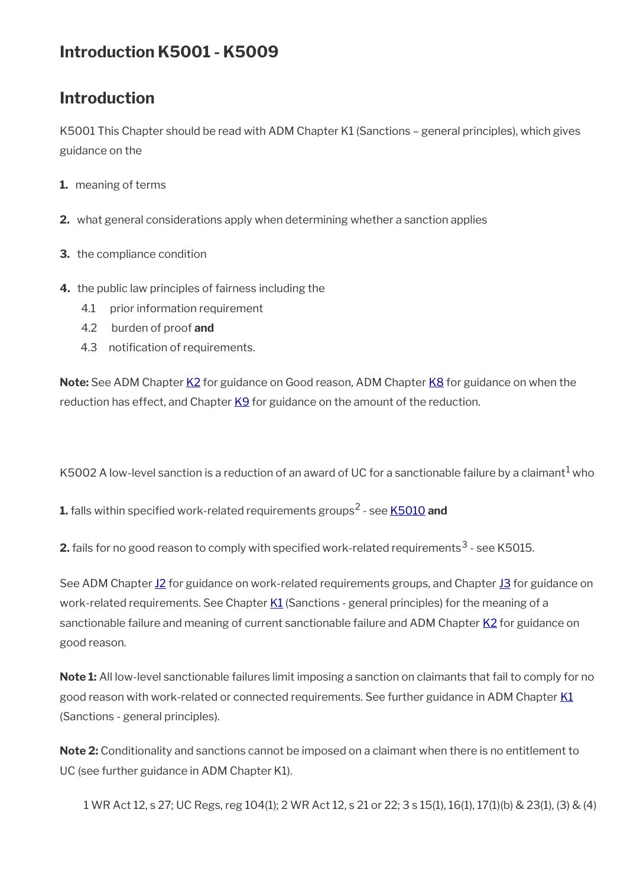# **Introduction K5001 - K5009**

# **Introduction**

K5001 This Chapter should be read with ADM Chapter K1 (Sanctions – general principles), which gives guidance on the

- **1.** meaning of terms
- **2.** what general considerations apply when determining whether a sanction applies
- **3.** the compliance condition
- **4.** the public law principles of fairness including the
	- 4.1 prior information requirement
	- 4.2 burden of proof **and**
	- 4.3 notification of requirements.

**Note:** See ADM Chapter [K2](https://intranet.dwp.gov.uk/manual/advice-decision-making-adm/adm-chapter-k2-good-reason) for guidance on Good reason, ADM Chapter [K8](https://intranet.dwp.gov.uk/manual/advice-decision-making-adm/adm-chapter-k8-when-reduction-have-effect) for guidance on when the reduction has effect, and Chapter [K9](https://intranet.dwp.gov.uk/manual/advice-decision-making-adm/adm-chapter-k9-amount-reduction) for guidance on the amount of the reduction.

K5002 A low-level sanction is a reduction of an award of UC for a sanctionable failure by a claimant $^1$  who

**1.** falls within specified work-related requirements groups<sup>2</sup> - see <u>K5010</u> and

**2.** fails for no good reason to comply with specified work-related requirements  $^3$  - see K5015.

See ADM Chapter 12 for guidance on work-related requirements groups, and Chapter 13 for guidance on work-related requirements. See Chapter  $K1$  (Sanctions - general principles) for the meaning of a sanctionable failure and meaning of current sanctionable failure and ADM Chapter [K2](https://intranet.dwp.gov.uk/manual/advice-decision-making-adm/adm-chapter-k1-sanctions-general-principles) for guidance on good reason.

**Note 1:** All low-level sanctionable failures limit imposing a sanction on claimants that fail to comply for no good reason with work-related or connected requirements. See further guidance in ADM Chapter [K1](https://intranet.dwp.gov.uk/manual/advice-decision-making-adm/adm-chapter-k1-sanctions-general-principles) (Sanctions - general principles).

**Note 2:** Conditionality and sanctions cannot be imposed on a claimant when there is no entitlement to UC (see further guidance in ADM Chapter K1).

1 WR Act 12, s 27; UC Regs, reg 104(1); 2 WR Act 12, s 21 or 22; 3 s 15(1), 16(1), 17(1)(b) & 23(1), (3) & (4)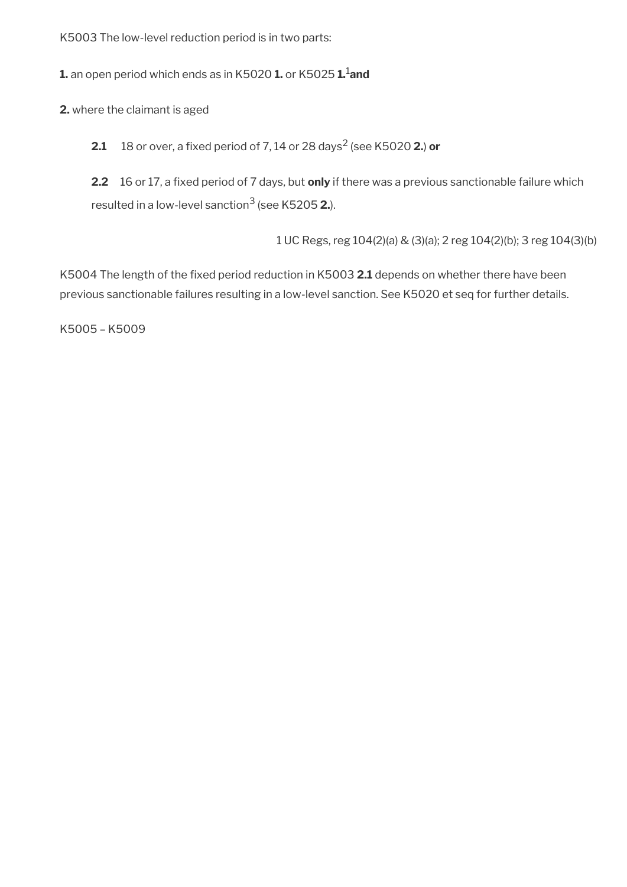K5003 The low-level reduction period is in two parts:

**1.** an open period which ends as in K5020 **1.** or K5025 **1.**1**and**

**2.** where the claimant is aged

**2.1** 18 or over, a fixed period of 7, 14 or 28 days<sup>2</sup> (see K5020 **2.**) **or** 

**2.2** 16 or 17, a fixed period of 7 days, but only if there was a previous sanctionable failure which resulted in a low-level sanction<sup>3</sup> (see K5205 **2.**).

1 UC Regs, reg 104(2)(a) & (3)(a); 2 reg 104(2)(b); 3 reg 104(3)(b)

K5004 The length of the fxed period reduction in K5003 **2.1** depends on whether there have been previous sanctionable failures resulting in a low-level sanction. See K5020 et seq for further details.

K5005 – K5009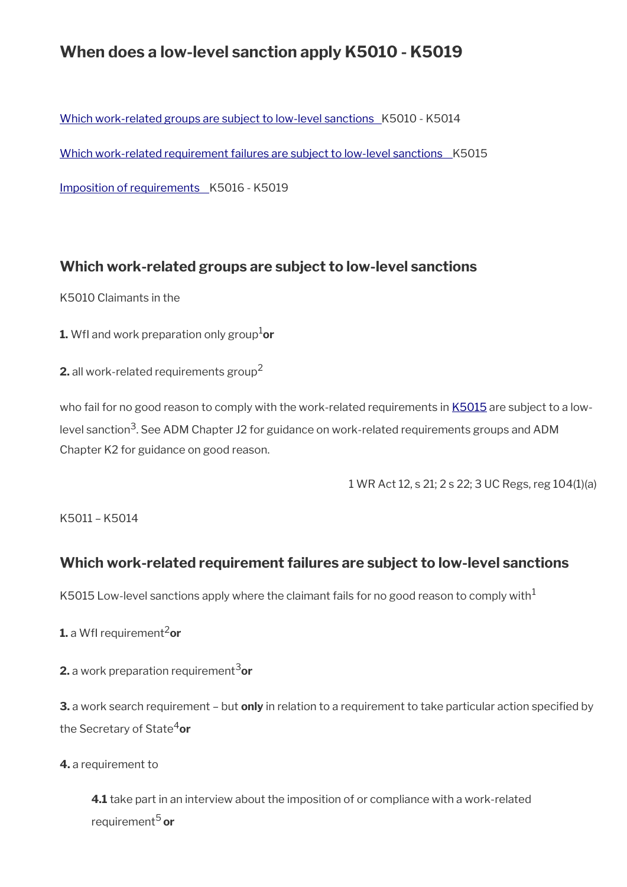# **When does a low-level sanction apply K5010 - K5019**

[Which work-related groups are subject to low-level sanctions](#page-3-1) K5010 - K5014

[Which work-related requirement failures are subject to low-level sanctions](#page-3-0) K5015

[Imposition of requirements](#page-4-0) K5016 - K5019

#### <span id="page-3-1"></span>**Which work-related groups are subject to low-level sanctions**

K5010 Claimants in the

**1.** WfI and work preparation only group<sup>1</sup>or

**2.** all work-related requirements group<sup>2</sup>

who fail for no good reason to comply with the work-related requirements in [K5015](#page-3-0) are subject to a lowlevel sanction<sup>3</sup>. See ADM Chapter J2 for guidance on work-related requirements groups and ADM Chapter K2 for guidance on good reason.

1 WR Act 12, s 21; 2 s 22; 3 UC Regs, reg 104(1)(a)

K5011 – K5014

### <span id="page-3-0"></span>**Which work-related requirement failures are subject to low-level sanctions**

K5015 Low-level sanctions apply where the claimant fails for no good reason to comply with<sup>1</sup>

**1.** a WfI requirement<sup>2</sup>or

**2.** a work preparation requirement<sup>3</sup>or

**3.** a work search requirement – but **only** in relation to a requirement to take particular action specifed by the Secretary of State4**or**

**4.** a requirement to

**4.1** take part in an interview about the imposition of or compliance with a work-related requirement5 **or**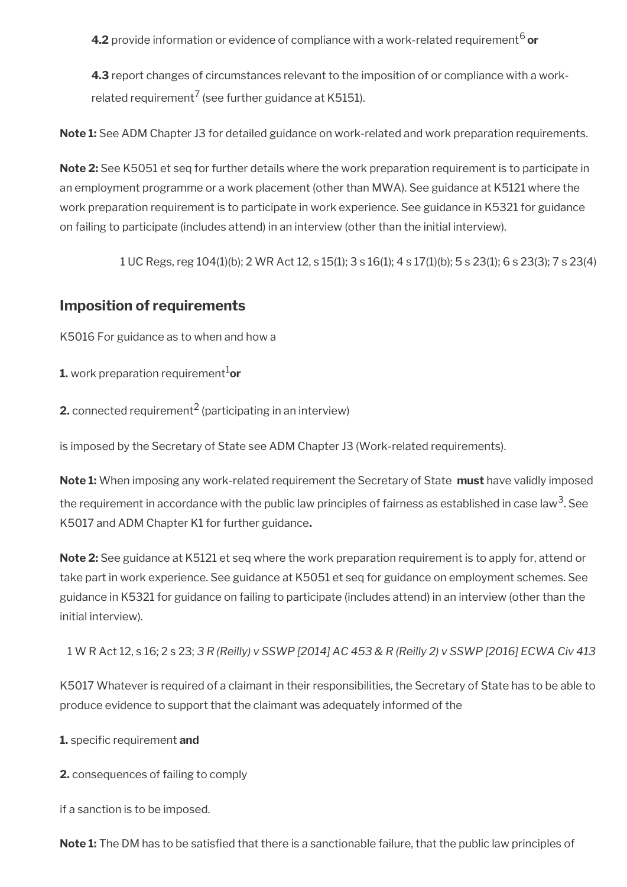**4.2** provide information or evidence of compliance with a work-related requirement<sup>6</sup> or

**4.3** report changes of circumstances relevant to the imposition of or compliance with a workrelated requirement $^7$  (see further guidance at K5151).

**Note 1:** See ADM Chapter J3 for detailed guidance on work-related and work preparation requirements.

**Note 2:** See K5051 et seq for further details where the work preparation requirement is to participate in an employment programme or a work placement (other than MWA). See guidance at K5121 where the work preparation requirement is to participate in work experience. See guidance in K5321 for guidance on failing to participate (includes attend) in an interview (other than the initial interview).

1 UC Regs, reg 104(1)(b); 2 WR Act 12, s 15(1); 3 s 16(1); 4 s 17(1)(b); 5 s 23(1); 6 s 23(3); 7 s 23(4)

### <span id="page-4-0"></span>**Imposition of requirements**

K5016 For guidance as to when and how a

**1.** work preparation requirement<sup>1</sup>or

**2.** connected requirement<sup>2</sup> (participating in an interview)

is imposed by the Secretary of State see ADM Chapter J3 (Work-related requirements).

**Note 1:** When imposing any work-related requirement the Secretary of State **must** have validly imposed the requirement in accordance with the public law principles of fairness as established in case law<sup>3</sup>. See K5017 and ADM Chapter K1 for further guidance**.**

**Note 2:** See guidance at K5121 et seq where the work preparation requirement is to apply for, attend or take part in work experience. See guidance at K5051 et seq for guidance on employment schemes. See guidance in K5321 for guidance on failing to participate (includes attend) in an interview (other than the initial interview).

1 W R Act 12, s 16; 2 s 23; *3 R (Reilly) v SSWP [2014] AC 453 & R (Reilly 2) v SSWP [2016] ECWA Civ 413*

K5017 Whatever is required of a claimant in their responsibilities, the Secretary of State has to be able to produce evidence to support that the claimant was adequately informed of the

**1.** specific requirement and

**2.** consequences of failing to comply

if a sanction is to be imposed.

**Note 1:** The DM has to be satisfed that there is a sanctionable failure, that the public law principles of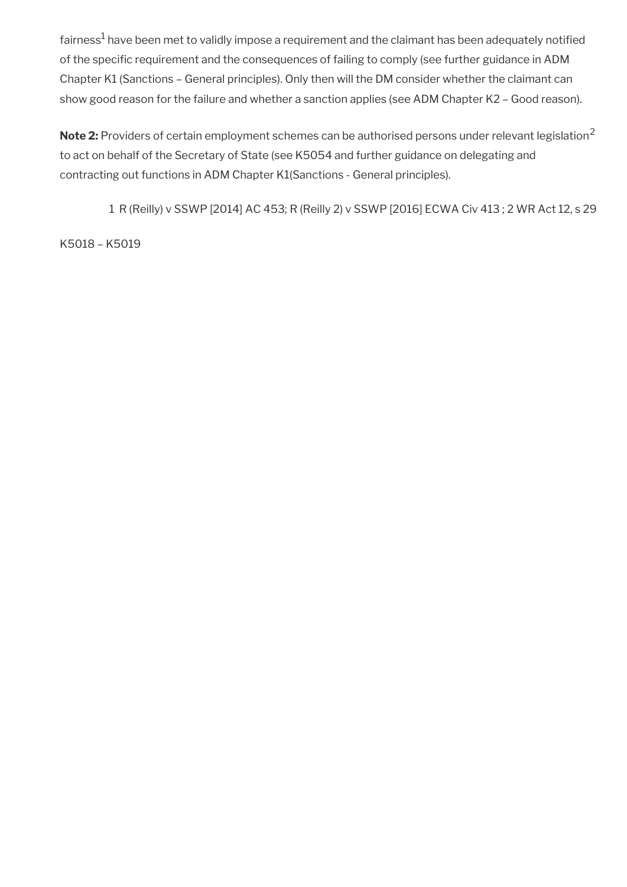fairness<sup>1</sup> have been met to validly impose a requirement and the claimant has been adequately notified of the specific requirement and the consequences of failing to comply (see further guidance in ADM Chapter K1 (Sanctions – General principles). Only then will the DM consider whether the claimant can show good reason for the failure and whether a sanction applies (see ADM Chapter K2 – Good reason).

**Note 2:** Providers of certain employment schemes can be authorised persons under relevant legislation<sup>2</sup> to act on behalf of the Secretary of State (see K5054 and further guidance on delegating and contracting out functions in ADM Chapter K1(Sanctions - General principles).

1 R (Reilly) v SSWP [2014] AC 453; R (Reilly 2) v SSWP [2016] ECWA Civ 413 ; 2 WR Act 12, s 29

K5018 – K5019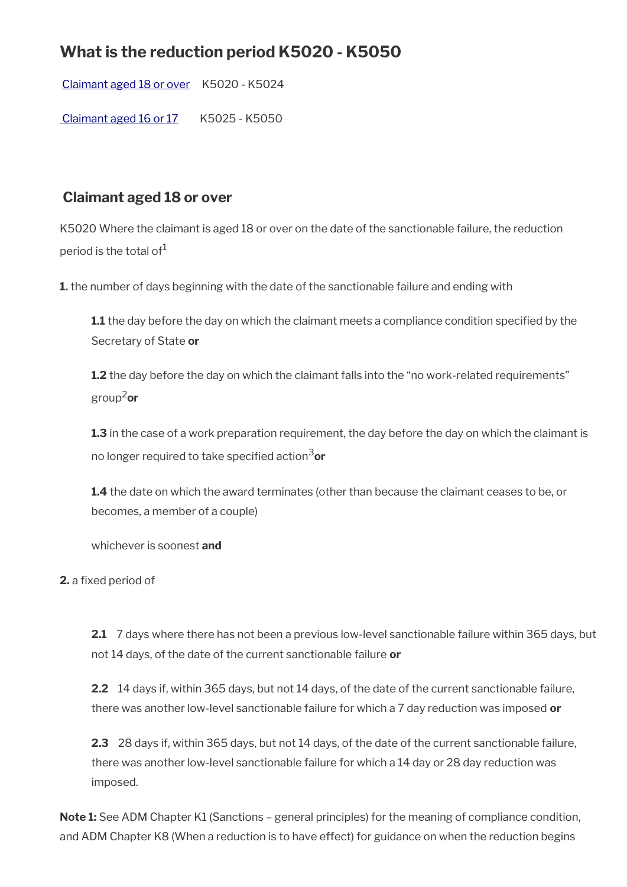# **What is the reduction period K5020 - K5050**

[Claimant aged 18 or over](#page-6-0) K5020 - K5024

[Claimant aged 16 or 17](#page-9-0) K5025 - K5050

# <span id="page-6-0"></span>**Claimant aged 18 or over**

K5020 Where the claimant is aged 18 or over on the date of the sanctionable failure, the reduction period is the total of  $1$ 

**1.** the number of days beginning with the date of the sanctionable failure and ending with

**1.1** the day before the day on which the claimant meets a compliance condition specifed by the Secretary of State **or**

**1.2** the day before the day on which the claimant falls into the "no work-related requirements" group2**or**

**1.3** in the case of a work preparation requirement, the day before the day on which the claimant is no longer required to take specifed action3**or**

**1.4** the date on which the award terminates (other than because the claimant ceases to be, or becomes, a member of a couple)

whichever is soonest **and**

**2.** a fixed period of

**2.1** 7 days where there has not been a previous low-level sanctionable failure within 365 days, but not 14 days, of the date of the current sanctionable failure **or**

**2.2** 14 days if, within 365 days, but not 14 days, of the date of the current sanctionable failure, there was another low-level sanctionable failure for which a 7 day reduction was imposed **or**

**2.3** 28 days if, within 365 days, but not 14 days, of the date of the current sanctionable failure, there was another low-level sanctionable failure for which a 14 day or 28 day reduction was imposed.

**Note 1:** See ADM Chapter K1 (Sanctions – general principles) for the meaning of compliance condition, and ADM Chapter K8 (When a reduction is to have effect) for guidance on when the reduction begins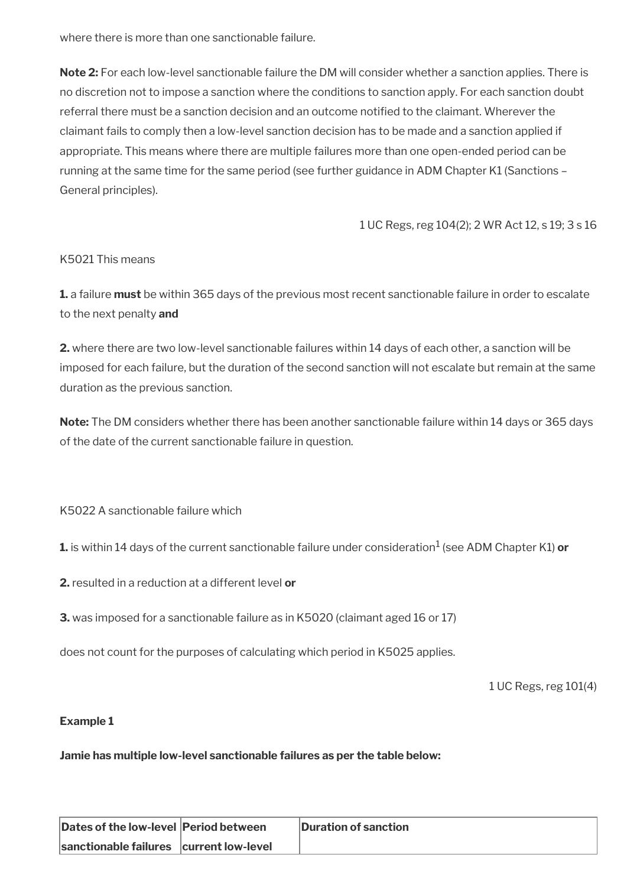where there is more than one sanctionable failure.

**Note 2:** For each low-level sanctionable failure the DM will consider whether a sanction applies. There is no discretion not to impose a sanction where the conditions to sanction apply. For each sanction doubt referral there must be a sanction decision and an outcome notifed to the claimant. Wherever the claimant fails to comply then a low-level sanction decision has to be made and a sanction applied if appropriate. This means where there are multiple failures more than one open-ended period can be running at the same time for the same period (see further guidance in ADM Chapter K1 (Sanctions – General principles).

1 UC Regs, reg 104(2); 2 WR Act 12, s 19; 3 s 16

#### K5021 This means

**1.** a failure **must** be within 365 days of the previous most recent sanctionable failure in order to escalate to the next penalty **and** 

**2.** where there are two low-level sanctionable failures within 14 days of each other, a sanction will be imposed for each failure, but the duration of the second sanction will not escalate but remain at the same duration as the previous sanction.

**Note:** The DM considers whether there has been another sanctionable failure within 14 days or 365 days of the date of the current sanctionable failure in question.

K5022 A sanctionable failure which

 $\boldsymbol{1}$  is within 14 days of the current sanctionable failure under consideration $^1$  (see ADM Chapter K1)  $\boldsymbol{\mathsf{or}}$ 

**2.** resulted in a reduction at a different level **or**

**3.** was imposed for a sanctionable failure as in K5020 (claimant aged 16 or 17)

does not count for the purposes of calculating which period in K5025 applies.

1 UC Regs, reg 101(4)

#### **Example 1**

**Jamie has multiple low-level sanctionable failures as per the table below:**

| Dates of the low-level Period between   | Duration of sanction |
|-----------------------------------------|----------------------|
| sanctionable failures current low-level |                      |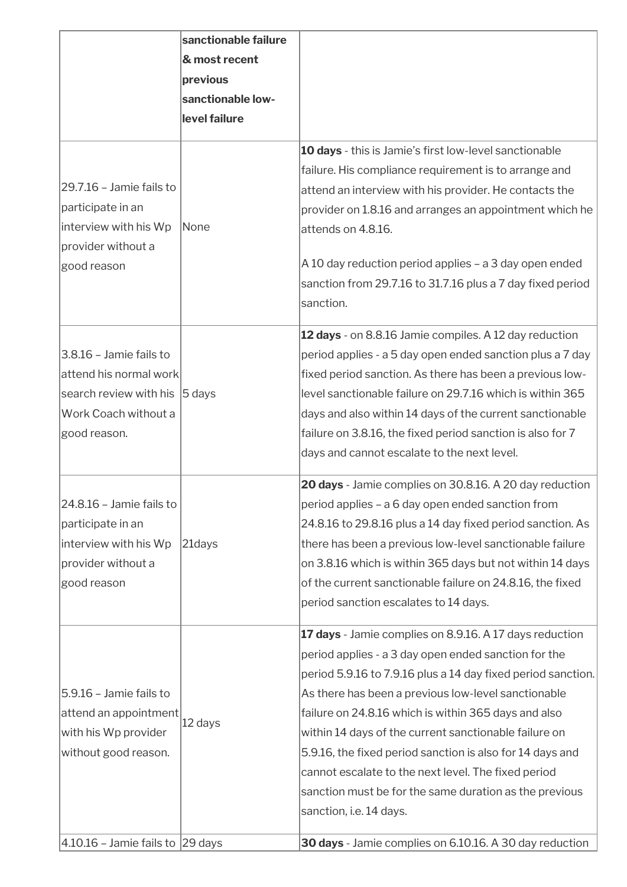|                                        | sanctionable failure |                                                                                                                 |
|----------------------------------------|----------------------|-----------------------------------------------------------------------------------------------------------------|
|                                        | & most recent        |                                                                                                                 |
|                                        | previous             |                                                                                                                 |
|                                        | sanctionable low-    |                                                                                                                 |
|                                        | level failure        |                                                                                                                 |
|                                        |                      | 10 days - this is Jamie's first low-level sanctionable<br>failure. His compliance requirement is to arrange and |
| 29.7.16 - Jamie fails to               |                      | attend an interview with his provider. He contacts the                                                          |
| participate in an                      |                      | provider on 1.8.16 and arranges an appointment which he                                                         |
| interview with his Wp                  | None                 | attends on 4.8.16.                                                                                              |
| provider without a                     |                      |                                                                                                                 |
| good reason                            |                      | A 10 day reduction period applies - a 3 day open ended                                                          |
|                                        |                      | sanction from 29.7.16 to 31.7.16 plus a 7 day fixed period                                                      |
|                                        |                      | sanction.                                                                                                       |
|                                        |                      | 12 days - on 8.8.16 Jamie compiles. A 12 day reduction                                                          |
| 3.8.16 - Jamie fails to                |                      | period applies - a 5 day open ended sanction plus a 7 day                                                       |
| attend his normal work                 |                      | fixed period sanction. As there has been a previous low-                                                        |
| search review with his 5 days          |                      | level sanctionable failure on 29.7.16 which is within 365                                                       |
| Work Coach without a                   |                      | days and also within 14 days of the current sanctionable                                                        |
| good reason.                           |                      | failure on 3.8.16, the fixed period sanction is also for 7                                                      |
|                                        |                      | days and cannot escalate to the next level.                                                                     |
|                                        |                      | 20 days - Jamie complies on 30.8.16. A 20 day reduction                                                         |
| 24.8.16 - Jamie fails to               |                      | period applies - a 6 day open ended sanction from                                                               |
| participate in an                      |                      | 24.8.16 to 29.8.16 plus a 14 day fixed period sanction. As                                                      |
| interview with his Wp                  | 21days               | there has been a previous low-level sanctionable failure                                                        |
| provider without a                     |                      | on 3.8.16 which is within 365 days but not within 14 days                                                       |
| good reason                            |                      | of the current sanctionable failure on 24.8.16, the fixed                                                       |
|                                        |                      | period sanction escalates to 14 days.                                                                           |
|                                        |                      | 17 days - Jamie complies on 8.9.16. A 17 days reduction                                                         |
|                                        |                      | period applies - a 3 day open ended sanction for the                                                            |
|                                        |                      | period 5.9.16 to 7.9.16 plus a 14 day fixed period sanction.                                                    |
| 5.9.16 - Jamie fails to                |                      | As there has been a previous low-level sanctionable                                                             |
| attend an appointment                  | 12 days              | failure on 24.8.16 which is within 365 days and also                                                            |
| with his Wp provider                   |                      | within 14 days of the current sanctionable failure on                                                           |
| without good reason.                   |                      | 5.9.16, the fixed period sanction is also for 14 days and                                                       |
|                                        |                      | cannot escalate to the next level. The fixed period                                                             |
|                                        |                      | sanction must be for the same duration as the previous                                                          |
|                                        |                      | sanction, i.e. 14 days.                                                                                         |
| $ 4.10.16$ – Jamie fails to $ 29$ days |                      | 30 days - Jamie complies on 6.10.16. A 30 day reduction                                                         |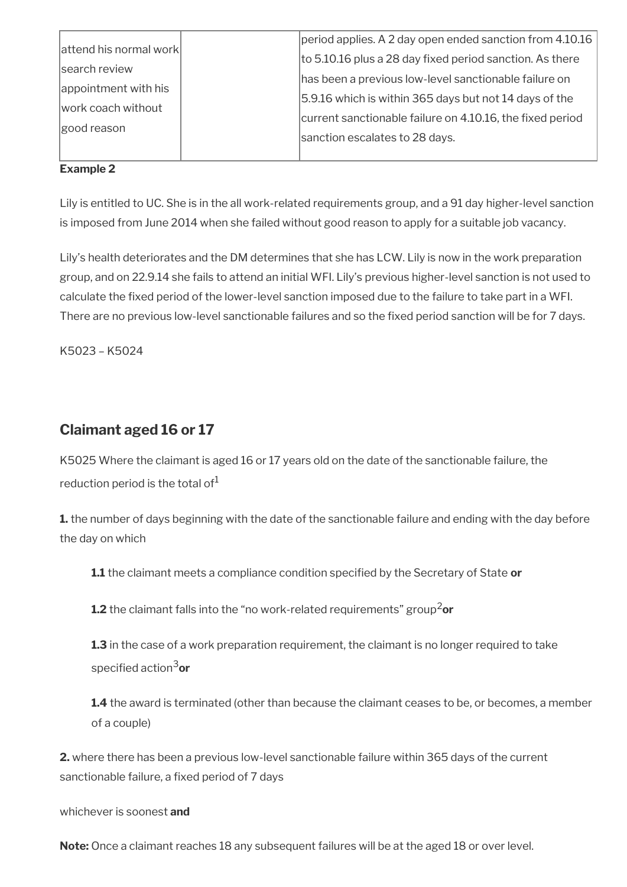|                                                                            | attend his normal work |  | period applies. A 2 day open ended sanction from 4.10.16  |
|----------------------------------------------------------------------------|------------------------|--|-----------------------------------------------------------|
| search review<br>appointment with his<br>work coach without<br>good reason |                        |  | to 5.10.16 plus a 28 day fixed period sanction. As there  |
|                                                                            |                        |  | has been a previous low-level sanctionable failure on     |
|                                                                            |                        |  | 5.9.16 which is within 365 days but not 14 days of the    |
|                                                                            |                        |  | current sanctionable failure on 4.10.16, the fixed period |
|                                                                            |                        |  | sanction escalates to 28 days.                            |
|                                                                            |                        |  |                                                           |

#### **Example 2**

Lily is entitled to UC. She is in the all work-related requirements group, and a 91 day higher-level sanction is imposed from June 2014 when she failed without good reason to apply for a suitable job vacancy.

Lily's health deteriorates and the DM determines that she has LCW. Lily is now in the work preparation group, and on 22.9.14 she fails to attend an initial WFI. Lily's previous higher-level sanction is not used to calculate the fxed period of the lower-level sanction imposed due to the failure to take part in a WFI. There are no previous low-level sanctionable failures and so the fixed period sanction will be for 7 days.

K5023 – K5024

# <span id="page-9-0"></span>**Claimant aged 16 or 17**

K5025 Where the claimant is aged 16 or 17 years old on the date of the sanctionable failure, the reduction period is the total of  $1$ 

**1.** the number of days beginning with the date of the sanctionable failure and ending with the day before the day on which

**1.1** the claimant meets a compliance condition specifed by the Secretary of State **or**

**1.2** the claimant falls into the "no work-related requirements" group<sup>2</sup>or

**1.3** in the case of a work preparation requirement, the claimant is no longer required to take specifed action3**or**

**1.4** the award is terminated (other than because the claimant ceases to be, or becomes, a member of a couple)

**2.** where there has been a previous low-level sanctionable failure within 365 days of the current sanctionable failure, a fixed period of 7 days

whichever is soonest **and**

**Note:** Once a claimant reaches 18 any subsequent failures will be at the aged 18 or over level.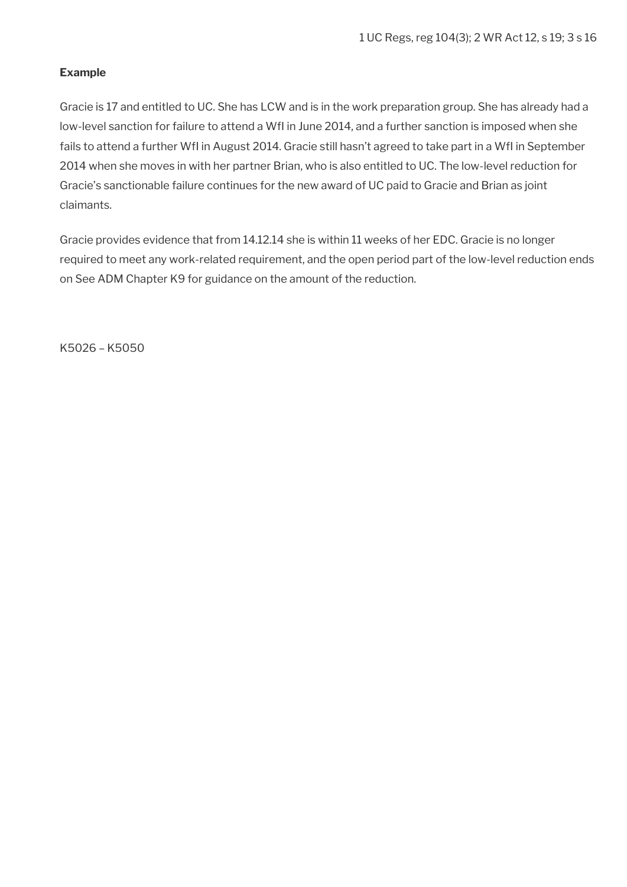#### **Example**

Gracie is 17 and entitled to UC. She has LCW and is in the work preparation group. She has already had a low-level sanction for failure to attend a WfI in June 2014, and a further sanction is imposed when she fails to attend a further WfI in August 2014. Gracie still hasn't agreed to take part in a WfI in September 2014 when she moves in with her partner Brian, who is also entitled to UC. The low-level reduction for Gracie's sanctionable failure continues for the new award of UC paid to Gracie and Brian as joint claimants.

Gracie provides evidence that from 14.12.14 she is within 11 weeks of her EDC. Gracie is no longer required to meet any work-related requirement, and the open period part of the low-level reduction ends on See ADM Chapter K9 for guidance on the amount of the reduction.

K5026 – K5050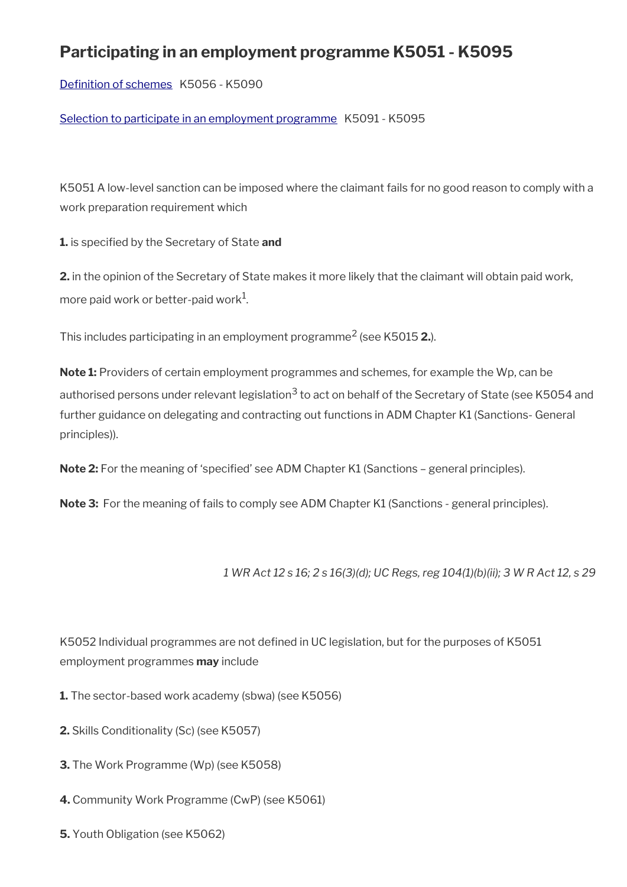# **Participating in an employment programme K5051 - K5095**

Definition of schemes K5056 - K5090

Selection to participate [in an employment programme](#page-21-0) K5091 - K5095

K5051 A low-level sanction can be imposed where the claimant fails for no good reason to comply with a work preparation requirement which

**1.** is specifed by the Secretary of State **and**

**2.** in the opinion of the Secretary of State makes it more likely that the claimant will obtain paid work, more paid work or better-paid work $^1\!$ 

This includes participating in an employment programme<sup>2</sup> (see K5015 **2.**).

**Note 1:** Providers of certain employment programmes and schemes, for example the Wp, can be authorised persons under relevant legislation<sup>3</sup> to act on behalf of the Secretary of State (see K5054 and further guidance on delegating and contracting out functions in ADM Chapter K1 (Sanctions- General principles)).

**Note 2:** For the meaning of 'specified' see ADM Chapter K1 (Sanctions – general principles).

Note 3: For the meaning of fails to comply see ADM Chapter K1 (Sanctions - general principles).

*1 WR Act 12 s 16; 2 s 16(3)(d); UC Regs, reg 104(1)(b)(ii); 3 W R Act 12, s 29*

K5052 Individual programmes are not defned in UC legislation, but for the purposes of K5051 employment programmes **may** include

**1.** The sector-based work academy (sbwa) (see K5056)

**2.** Skills Conditionality (Sc) (see K5057)

**3.** The Work Programme (Wp) (see K5058)

**4.** Community Work Programme (CwP) (see K5061)

**5.** Youth Obligation (see K5062)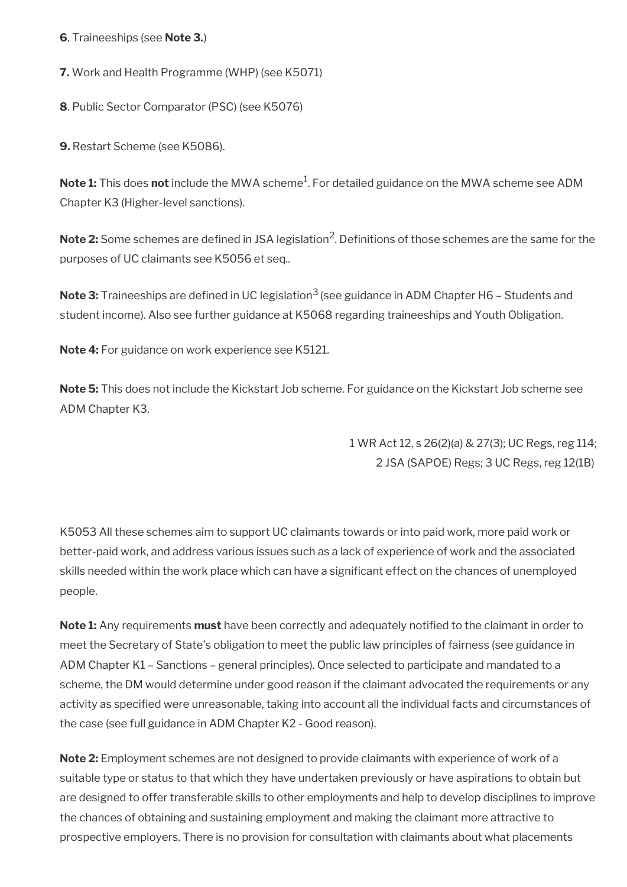- **6**. Traineeships (see **Note 3.**)
- **7.** Work and Health Programme (WHP) (see K5071)
- **8**. Public Sector Comparator (PSC) (see K5076)

**9.** Restart Scheme (see K5086).

**Note 1:** This does **not** include the MWA scheme<sup>1</sup>. For detailed guidance on the MWA scheme see ADM Chapter K3 (Higher-level sanctions).

**Note 2:** Some schemes are defined in JSA legislation<sup>2</sup>. Definitions of those schemes are the same for the purposes of UC claimants see K5056 et seq..

**Note 3:** Traineeships are defined in UC legislation<sup>3</sup> (see guidance in ADM Chapter H6 – Students and student income). Also see further guidance at K5068 regarding traineeships and Youth Obligation.

**Note 4:** For guidance on work experience see K5121.

**Note 5:** This does not include the Kickstart Job scheme. For guidance on the Kickstart Job scheme see ADM Chapter K3.

> 1 WR Act 12, s 26(2)(a) & 27(3); UC Regs, reg 114; 2 JSA (SAPOE) Regs; 3 UC Regs, reg 12(1B)

K5053 All these schemes aim to support UC claimants towards or into paid work, more paid work or better-paid work, and address various issues such as a lack of experience of work and the associated skills needed within the work place which can have a significant effect on the chances of unemployed people.

**Note 1:** Any requirements **must** have been correctly and adequately notifed to the claimant in order to meet the Secretary of State's obligation to meet the public law principles of fairness (see guidance in ADM Chapter K1 – Sanctions – general principles). Once selected to participate and mandated to a scheme, the DM would determine under good reason if the claimant advocated the requirements or any activity as specifed were unreasonable, taking into account all the individual facts and circumstances of the case (see full guidance in ADM Chapter K2 - Good reason).

**Note 2:** Employment schemes are not designed to provide claimants with experience of work of a suitable type or status to that which they have undertaken previously or have aspirations to obtain but are designed to offer transferable skills to other employments and help to develop disciplines to improve the chances of obtaining and sustaining employment and making the claimant more attractive to prospective employers. There is no provision for consultation with claimants about what placements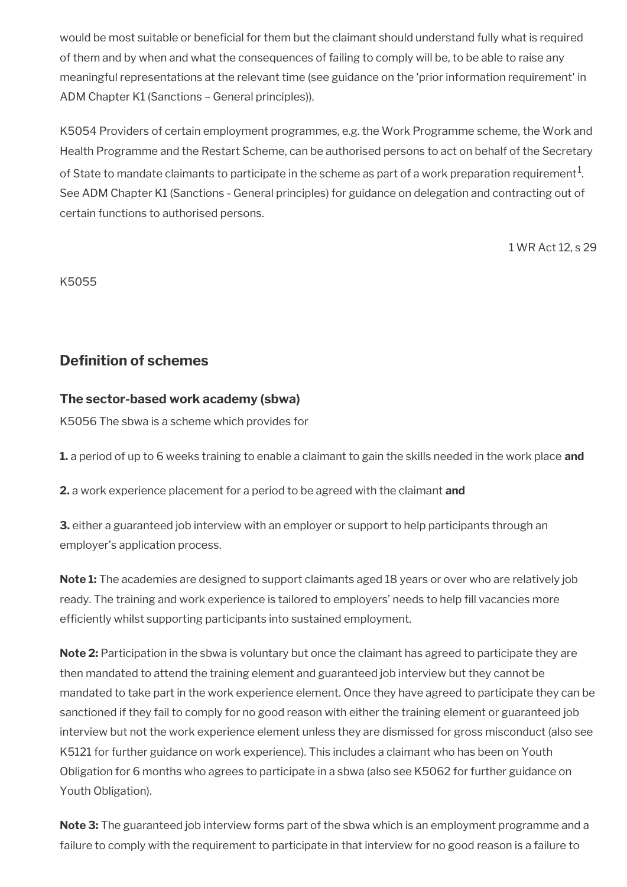would be most suitable or beneficial for them but the claimant should understand fully what is required of them and by when and what the consequences of failing to comply will be, to be able to raise any meaningful representations at the relevant time (see guidance on the 'prior information requirement' in ADM Chapter K1 (Sanctions – General principles)).

K5054 Providers of certain employment programmes, e.g. the Work Programme scheme, the Work and Health Programme and the Restart Scheme, can be authorised persons to act on behalf of the Secretary of State to mandate claimants to participate in the scheme as part of a work preparation requirement $^1\!$ . See ADM Chapter K1 (Sanctions - General principles) for guidance on delegation and contracting out of certain functions to authorised persons.

1 WR Act 12, s 29

K5055

# <span id="page-13-0"></span>**Definition of schemes**

#### **The sector-based work academy (sbwa)**

K5056 The sbwa is a scheme which provides for

**1.** a period of up to 6 weeks training to enable a claimant to gain the skills needed in the work place **and**

**2.** a work experience placement for a period to be agreed with the claimant **and** 

**3.** either a guaranteed job interview with an employer or support to help participants through an employer's application process.

**Note 1:** The academies are designed to support claimants aged 18 years or over who are relatively job ready. The training and work experience is tailored to employers' needs to help fll vacancies more efficiently whilst supporting participants into sustained employment.

**Note 2:** Participation in the sbwa is voluntary but once the claimant has agreed to participate they are then mandated to attend the training element and guaranteed job interview but they cannot be mandated to take part in the work experience element. Once they have agreed to participate they can be sanctioned if they fail to comply for no good reason with either the training element or guaranteed job interview but not the work experience element unless they are dismissed for gross misconduct (also see K5121 for further guidance on work experience). This includes a claimant who has been on Youth Obligation for 6 months who agrees to participate in a sbwa (also see K5062 for further guidance on Youth Obligation).

**Note 3:** The guaranteed job interview forms part of the sbwa which is an employment programme and a failure to comply with the requirement to participate in that interview for no good reason is a failure to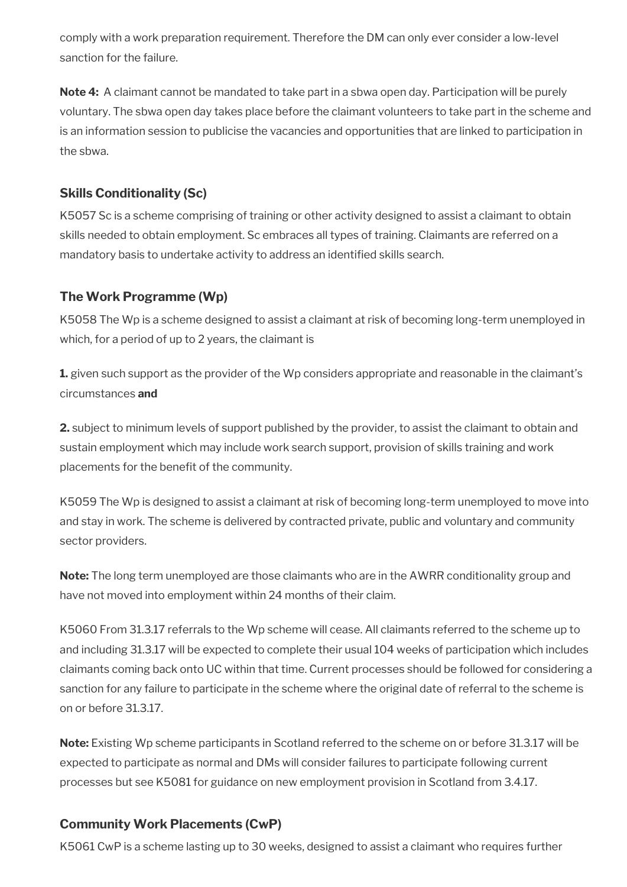comply with a work preparation requirement. Therefore the DM can only ever consider a low-level sanction for the failure.

**Note 4:** A claimant cannot be mandated to take part in a sbwa open day. Participation will be purely voluntary. The sbwa open day takes place before the claimant volunteers to take part in the scheme and is an information session to publicise the vacancies and opportunities that are linked to participation in the sbwa.

#### **Skills Conditionality (Sc)**

K5057 Sc is a scheme comprising of training or other activity designed to assist a claimant to obtain skills needed to obtain employment. Sc embraces all types of training. Claimants are referred on a mandatory basis to undertake activity to address an identifed skills search.

#### **The Work Programme (Wp)**

K5058 The Wp is a scheme designed to assist a claimant at risk of becoming long-term unemployed in which, for a period of up to 2 years, the claimant is

**1.** given such support as the provider of the Wp considers appropriate and reasonable in the claimant's circumstances **and**

**2.** subject to minimum levels of support published by the provider, to assist the claimant to obtain and sustain employment which may include work search support, provision of skills training and work placements for the benefit of the community.

K5059 The Wp is designed to assist a claimant at risk of becoming long-term unemployed to move into and stay in work. The scheme is delivered by contracted private, public and voluntary and community sector providers.

**Note:** The long term unemployed are those claimants who are in the AWRR conditionality group and have not moved into employment within 24 months of their claim.

K5060 From 31.3.17 referrals to the Wp scheme will cease. All claimants referred to the scheme up to and including 31.3.17 will be expected to complete their usual 104 weeks of participation which includes claimants coming back onto UC within that time. Current processes should be followed for considering a sanction for any failure to participate in the scheme where the original date of referral to the scheme is on or before 31.3.17.

**Note:** Existing Wp scheme participants in Scotland referred to the scheme on or before 31.3.17 will be expected to participate as normal and DMs will consider failures to participate following current processes but see K5081 for guidance on new employment provision in Scotland from 3.4.17.

#### **Community Work Placements (CwP)**

K5061 CwP is a scheme lasting up to 30 weeks, designed to assist a claimant who requires further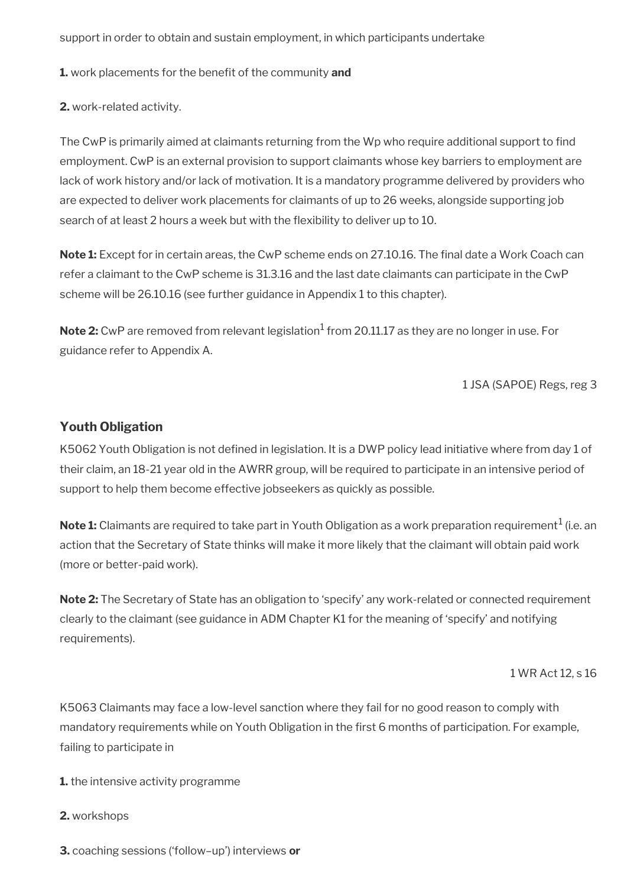support in order to obtain and sustain employment, in which participants undertake

**1.** work placements for the benefit of the community and

**2.** work-related activity.

The CwP is primarily aimed at claimants returning from the Wp who require additional support to find employment. CwP is an external provision to support claimants whose key barriers to employment are lack of work history and/or lack of motivation. It is a mandatory programme delivered by providers who are expected to deliver work placements for claimants of up to 26 weeks, alongside supporting job search of at least 2 hours a week but with the fexibility to deliver up to 10.

**Note 1:** Except for in certain areas, the CwP scheme ends on 27.10.16. The final date a Work Coach can refer a claimant to the CwP scheme is 31.3.16 and the last date claimants can participate in the CwP scheme will be 26.10.16 (see further guidance in Appendix 1 to this chapter).

 $\mathsf{Note} \, 2\mathrm{:}$  CwP are removed from relevant legislation $^1$  from 20.11.17 as they are no longer in use. For guidance refer to Appendix A.

1 JSA (SAPOE) Regs, reg 3

#### **Youth Obligation**

K5062 Youth Obligation is not defned in legislation. It is a DWP policy lead initiative where from day 1 of their claim, an 18-21 year old in the AWRR group, will be required to participate in an intensive period of support to help them become effective jobseekers as quickly as possible.

 $\mathop{\mathsf{Note}}\nolimits 1$ : Claimants are required to take part in Youth Obligation as a work preparation requirement $^1$  (i.e. an action that the Secretary of State thinks will make it more likely that the claimant will obtain paid work (more or better-paid work).

**Note 2:** The Secretary of State has an obligation to 'specify' any work-related or connected requirement clearly to the claimant (see guidance in ADM Chapter K1 for the meaning of 'specify' and notifying requirements).

1 WR Act 12, s 16

K5063 Claimants may face a low-level sanction where they fail for no good reason to comply with mandatory requirements while on Youth Obligation in the frst 6 months of participation. For example, failing to participate in

**1.** the intensive activity programme

- **2.** workshops
- **3.** coaching sessions ('follow–up') interviews **or**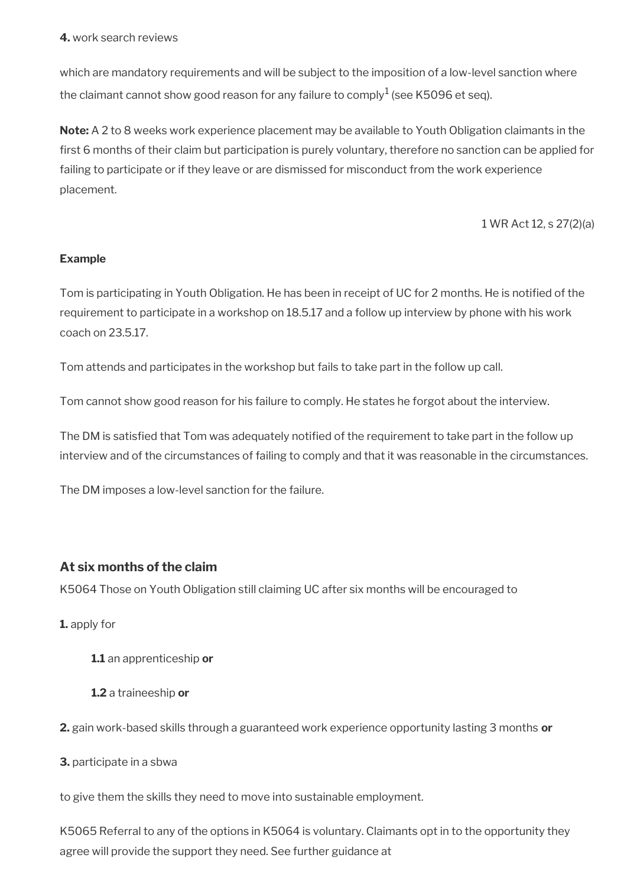**4.** work search reviews

which are mandatory requirements and will be subject to the imposition of a low-level sanction where the claimant cannot show good reason for any failure to comply $^1$  (see K5096 et seq).

**Note:** A 2 to 8 weeks work experience placement may be available to Youth Obligation claimants in the first 6 months of their claim but participation is purely voluntary, therefore no sanction can be applied for failing to participate or if they leave or are dismissed for misconduct from the work experience placement.

1 WR Act 12, s 27(2)(a)

#### **Example**

Tom is participating in Youth Obligation. He has been in receipt of UC for 2 months. He is notifed of the requirement to participate in a workshop on 18.5.17 and a follow up interview by phone with his work coach on 23.5.17.

Tom attends and participates in the workshop but fails to take part in the follow up call.

Tom cannot show good reason for his failure to comply. He states he forgot about the interview.

The DM is satisfed that Tom was adequately notifed of the requirement to take part in the follow up interview and of the circumstances of failing to comply and that it was reasonable in the circumstances.

The DM imposes a low-level sanction for the failure.

#### **At six months of the claim**

K5064 Those on Youth Obligation still claiming UC after six months will be encouraged to

**1.** apply for

- **1.1** an apprenticeship **or**
- **1.2** a traineeship **or**
- **2.** gain work-based skills through a guaranteed work experience opportunity lasting 3 months **or**
- **3.** participate in a sbwa

to give them the skills they need to move into sustainable employment.

K5065 Referral to any of the options in K5064 is voluntary. Claimants opt in to the opportunity they agree will provide the support they need. See further guidance at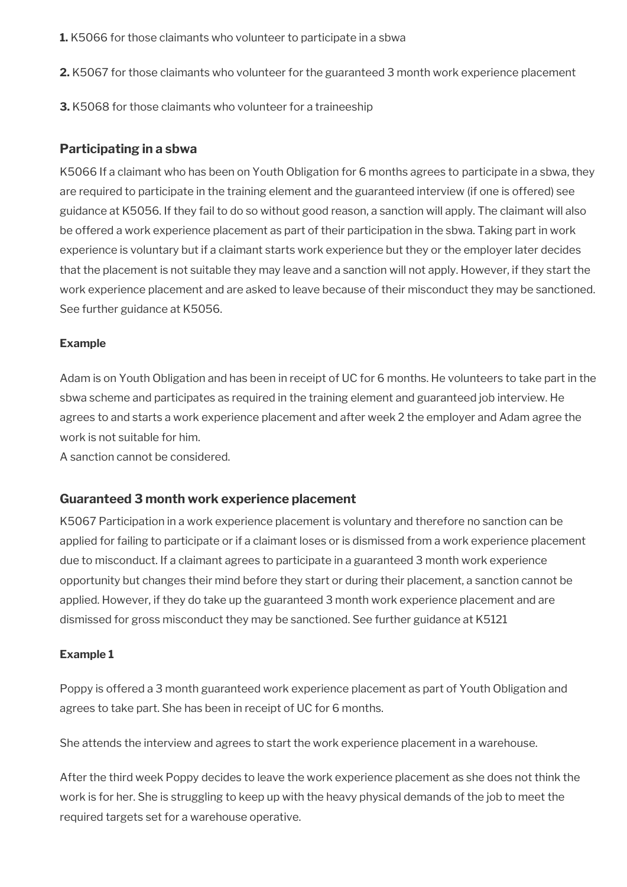- **1.** K5066 for those claimants who volunteer to participate in a sbwa
- **2.** K5067 for those claimants who volunteer for the guaranteed 3 month work experience placement
- **3.** K5068 for those claimants who volunteer for a traineeship

#### **Participating in a sbwa**

K5066 If a claimant who has been on Youth Obligation for 6 months agrees to participate in a sbwa, they are required to participate in the training element and the guaranteed interview (if one is offered) see guidance at K5056. If they fail to do so without good reason, a sanction will apply. The claimant will also be offered a work experience placement as part of their participation in the sbwa. Taking part in work experience is voluntary but if a claimant starts work experience but they or the employer later decides that the placement is not suitable they may leave and a sanction will not apply. However, if they start the work experience placement and are asked to leave because of their misconduct they may be sanctioned. See further guidance at K5056.

#### **Example**

Adam is on Youth Obligation and has been in receipt of UC for 6 months. He volunteers to take part in the sbwa scheme and participates as required in the training element and guaranteed job interview. He agrees to and starts a work experience placement and after week 2 the employer and Adam agree the work is not suitable for him.

A sanction cannot be considered.

#### **Guaranteed 3 month work experience placement**

K5067 Participation in a work experience placement is voluntary and therefore no sanction can be applied for failing to participate or if a claimant loses or is dismissed from a work experience placement due to misconduct. If a claimant agrees to participate in a guaranteed 3 month work experience opportunity but changes their mind before they start or during their placement, a sanction cannot be applied. However, if they do take up the guaranteed 3 month work experience placement and are dismissed for gross misconduct they may be sanctioned. See further guidance at K5121

#### **Example 1**

Poppy is offered a 3 month guaranteed work experience placement as part of Youth Obligation and agrees to take part. She has been in receipt of UC for 6 months.

She attends the interview and agrees to start the work experience placement in a warehouse.

After the third week Poppy decides to leave the work experience placement as she does not think the work is for her. She is struggling to keep up with the heavy physical demands of the job to meet the required targets set for a warehouse operative.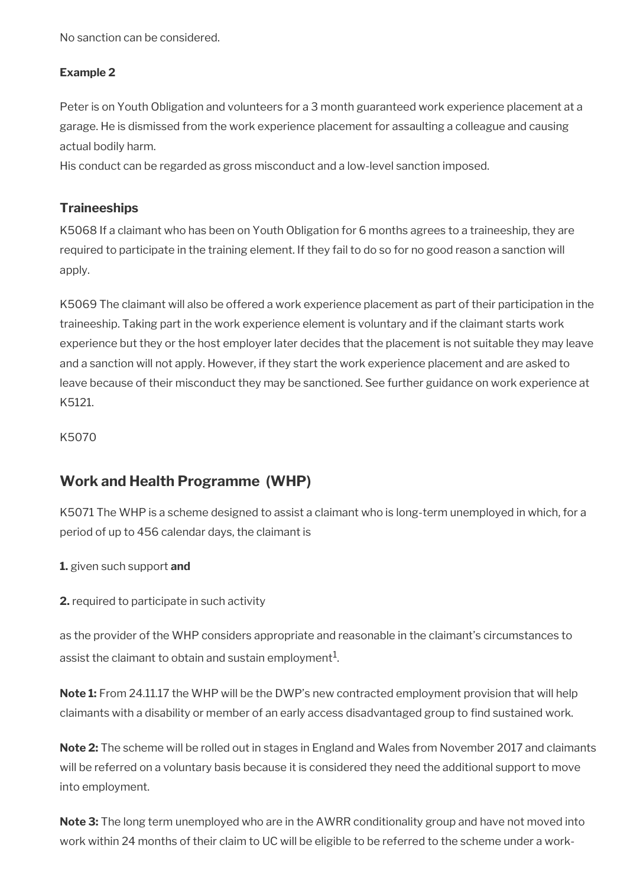No sanction can be considered.

#### **Example 2**

Peter is on Youth Obligation and volunteers for a 3 month guaranteed work experience placement at a garage. He is dismissed from the work experience placement for assaulting a colleague and causing actual bodily harm.

His conduct can be regarded as gross misconduct and a low-level sanction imposed.

#### **Traineeships**

K5068 If a claimant who has been on Youth Obligation for 6 months agrees to a traineeship, they are required to participate in the training element. If they fail to do so for no good reason a sanction will apply.

K5069 The claimant will also be offered a work experience placement as part of their participation in the traineeship. Taking part in the work experience element is voluntary and if the claimant starts work experience but they or the host employer later decides that the placement is not suitable they may leave and a sanction will not apply. However, if they start the work experience placement and are asked to leave because of their misconduct they may be sanctioned. See further guidance on work experience at K5121.

K5070

## **Work and Health Programme (WHP)**

K5071 The WHP is a scheme designed to assist a claimant who is long-term unemployed in which, for a period of up to 456 calendar days, the claimant is

**1.** given such support **and** 

**2.** required to participate in such activity

as the provider of the WHP considers appropriate and reasonable in the claimant's circumstances to assist the claimant to obtain and sustain employment $^{\mathrm{1}}$ .

**Note 1:** From 24.11.17 the WHP will be the DWP's new contracted employment provision that will help claimants with a disability or member of an early access disadvantaged group to fnd sustained work.

**Note 2:** The scheme will be rolled out in stages in England and Wales from November 2017 and claimants will be referred on a voluntary basis because it is considered they need the additional support to move into employment.

**Note 3:** The long term unemployed who are in the AWRR conditionality group and have not moved into work within 24 months of their claim to UC will be eligible to be referred to the scheme under a work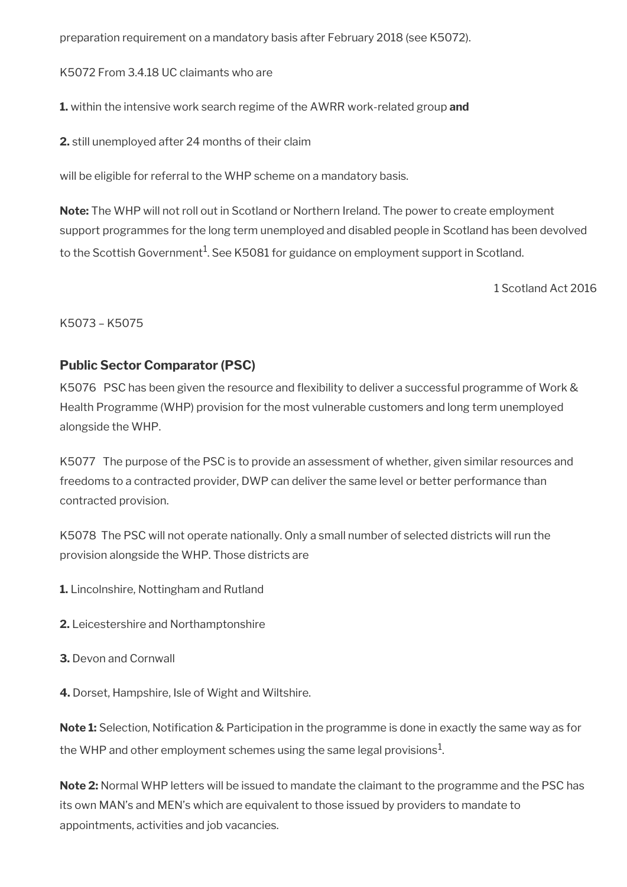preparation requirement on a mandatory basis after February 2018 (see K5072).

K5072 From 3.4.18 UC claimants who are

**1.** within the intensive work search regime of the AWRR work-related group **and**

**2.** still unemployed after 24 months of their claim

will be eligible for referral to the WHP scheme on a mandatory basis.

**Note:** The WHP will not roll out in Scotland or Northern Ireland. The power to create employment support programmes for the long term unemployed and disabled people in Scotland has been devolved to the Scottish Government $^{\rm 1}$ . See K5081 for guidance on employment support in Scotland.

1 Scotland Act 2016

K5073 – K5075

#### **Public Sector Comparator (PSC)**

K5076 PSC has been given the resource and flexibility to deliver a successful programme of Work & Health Programme (WHP) provision for the most vulnerable customers and long term unemployed alongside the WHP.

K5077 The purpose of the PSC is to provide an assessment of whether, given similar resources and freedoms to a contracted provider, DWP can deliver the same level or better performance than contracted provision.

K5078 The PSC will not operate nationally. Only a small number of selected districts will run the provision alongside the WHP. Those districts are

- **1.** Lincolnshire, Nottingham and Rutland
- **2.** Leicestershire and Northamptonshire
- **3.** Devon and Cornwall
- **4.** Dorset, Hampshire, Isle of Wight and Wiltshire.

**Note 1:** Selection, Notifcation & Participation in the programme is done in exactly the same way as for the WHP and other employment schemes using the same legal provisions $^1\!$ 

**Note 2:** Normal WHP letters will be issued to mandate the claimant to the programme and the PSC has its own MAN's and MEN's which are equivalent to those issued by providers to mandate to appointments, activities and job vacancies.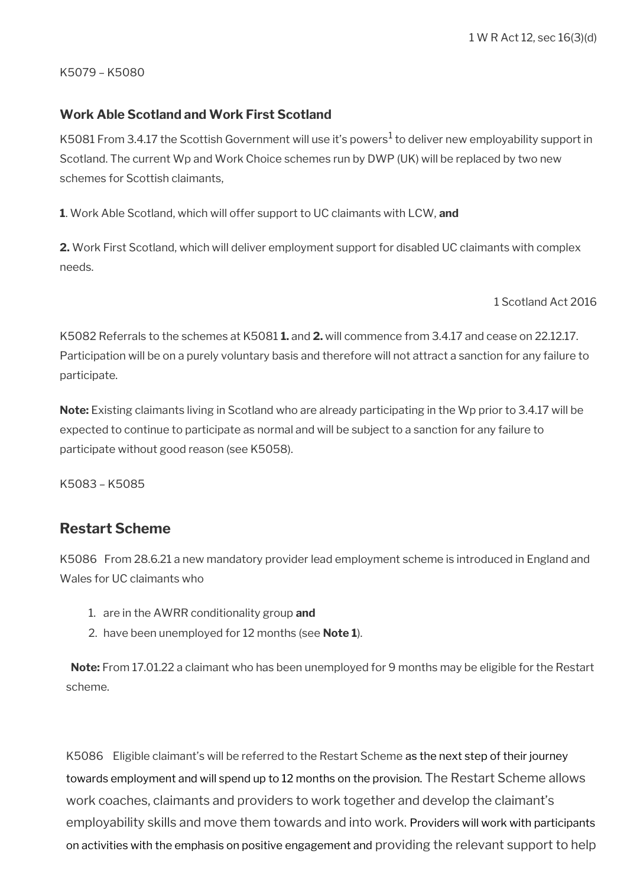K5079 – K5080

#### **Work Able Scotland and Work First Scotland**

K5081 From 3.4.17 the Scottish Government will use it's powers $^1$  to deliver new employability support in Scotland. The current Wp and Work Choice schemes run by DWP (UK) will be replaced by two new schemes for Scottish claimants,

**1**. Work Able Scotland, which will offer support to UC claimants with LCW, **and**

**2.** Work First Scotland, which will deliver employment support for disabled UC claimants with complex needs.

1 Scotland Act 2016

K5082 Referrals to the schemes at K5081 **1.** and **2.** will commence from 3.4.17 and cease on 22.12.17. Participation will be on a purely voluntary basis and therefore will not attract a sanction for any failure to participate.

**Note:** Existing claimants living in Scotland who are already participating in the Wp prior to 3.4.17 will be expected to continue to participate as normal and will be subject to a sanction for any failure to participate without good reason (see K5058).

K5083 – K5085

#### **Restart Scheme**

K5086 From 28.6.21 a new mandatory provider lead employment scheme is introduced in England and Wales for UC claimants who

- 1. are in the AWRR conditionality group **and**
- 2. have been unemployed for 12 months (see **Note 1**).

**Note:** From 17.01.22 a claimant who has been unemployed for 9 months may be eligible for the Restart scheme.

K5086 Eligible claimant's will be referred to the Restart Scheme as the next step of their journey towards employment and will spend up to 12 months on the provision. The Restart Scheme allows work coaches, claimants and providers to work together and develop the claimant's employability skills and move them towards and into work. Providers will work with participants on activities with the emphasis on positive engagement and providing the relevant support to help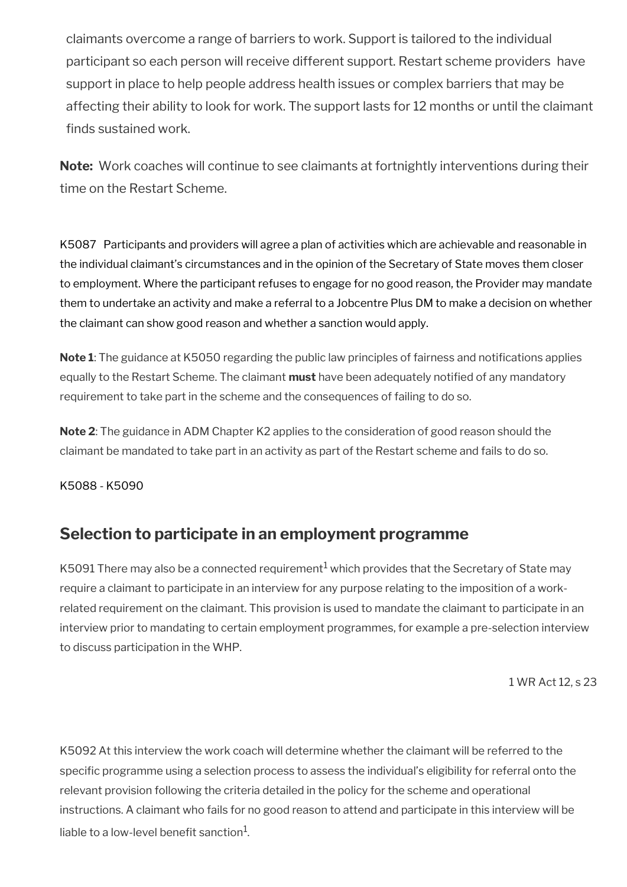claimants overcome a range of barriers to work. Support is tailored to the individual participant so each person will receive different support. Restart scheme providers have support in place to help people address health issues or complex barriers that may be affecting their ability to look for work. The support lasts for 12 months or until the claimant finds sustained work.

**Note:** Work coaches will continue to see claimants at fortnightly interventions during their time on the Restart Scheme.

K5087 Participants and providers will agree a plan of activities which are achievable and reasonable in the individual claimant's circumstances and in the opinion of the Secretary of State moves them closer to employment. Where the participant refuses to engage for no good reason, the Provider may mandate them to undertake an activity and make a referral to a Jobcentre Plus DM to make a decision on whether the claimant can show good reason and whether a sanction would apply.

**Note 1**: The guidance at K5050 regarding the public law principles of fairness and notifcations applies equally to the Restart Scheme. The claimant **must** have been adequately notifed of any mandatory requirement to take part in the scheme and the consequences of failing to do so.

**Note 2**: The guidance in ADM Chapter K2 applies to the consideration of good reason should the claimant be mandated to take part in an activity as part of the Restart scheme and fails to do so.

K5088 - K5090

# <span id="page-21-0"></span>**Selection to participate in an employment programme**

K5091 There may also be a connected requirement $^1$  which provides that the Secretary of State may require a claimant to participate in an interview for any purpose relating to the imposition of a workrelated requirement on the claimant. This provision is used to mandate the claimant to participate in an interview prior to mandating to certain employment programmes, for example a pre-selection interview to discuss participation in the WHP.

1 WR Act 12, s 23

K5092 At this interview the work coach will determine whether the claimant will be referred to the specifc programme using a selection process to assess the individual's eligibility for referral onto the relevant provision following the criteria detailed in the policy for the scheme and operational instructions. A claimant who fails for no good reason to attend and participate in this interview will be liable to a low-level benefit sanction $^{\rm 1}$ .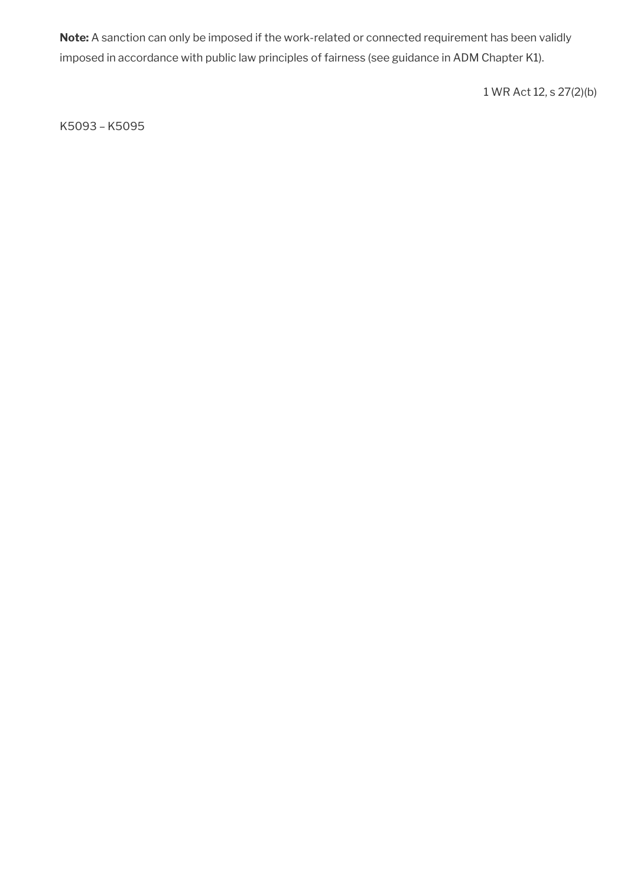**Note:** A sanction can only be imposed if the work-related or connected requirement has been validly imposed in accordance with public law principles of fairness (see guidance in ADM Chapter K1).

1 WR Act 12, s 27(2)(b)

K5093 – K5095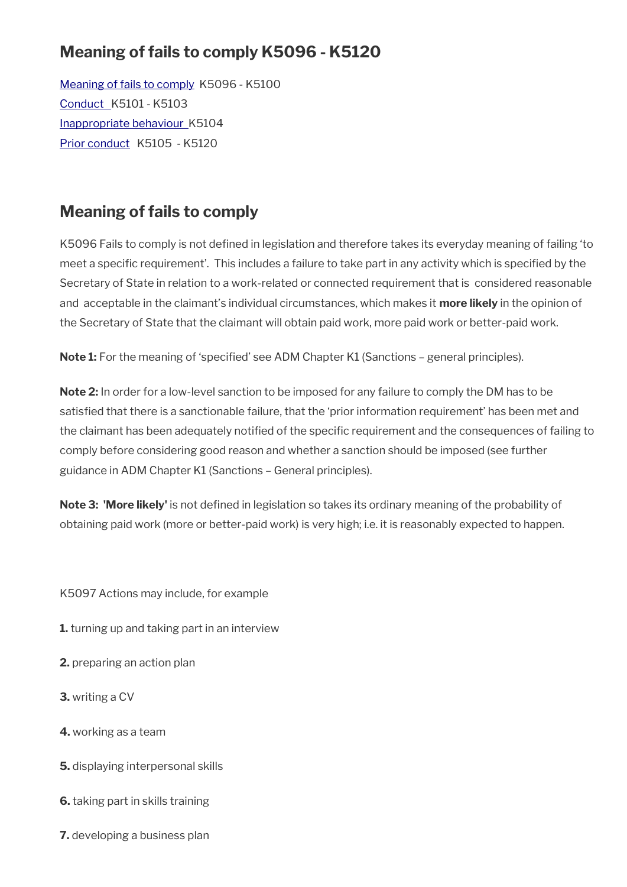# **Meaning of fails to comply K5096 - K5120**

[Meaning of fails to comply](#page-23-0) K5096 - K5100  [Conduct](#page-25-1) K5101 - K5103 [Inappropriate behaviour](#page-25-0) K5104 [Prior conduct](#page-27-0) K5105 - K5120

# <span id="page-23-0"></span>**Meaning of fails to comply**

K5096 Fails to comply is not defned in legislation and therefore takes its everyday meaning of failing 'to meet a specific requirement'. This includes a failure to take part in any activity which is specified by the Secretary of State in relation to a work-related or connected requirement that is considered reasonable and acceptable in the claimant's individual circumstances, which makes it **more likely** in the opinion of the Secretary of State that the claimant will obtain paid work, more paid work or better-paid work.

**Note 1:** For the meaning of 'specified' see ADM Chapter K1 (Sanctions – general principles).

**Note 2:** In order for a low-level sanction to be imposed for any failure to comply the DM has to be satisfed that there is a sanctionable failure, that the 'prior information requirement' has been met and the claimant has been adequately notified of the specific requirement and the consequences of failing to comply before considering good reason and whether a sanction should be imposed (see further guidance in ADM Chapter K1 (Sanctions – General principles).

**Note 3: 'More likely'** is not defined in legislation so takes its ordinary meaning of the probability of obtaining paid work (more or better-paid work) is very high; i.e. it is reasonably expected to happen.

K5097 Actions may include, for example

- **1.** turning up and taking part in an interview
- **2.** preparing an action plan
- **3.** writing a CV
- **4.** working as a team
- **5.** displaying interpersonal skills
- **6.** taking part in skills training
- **7.** developing a business plan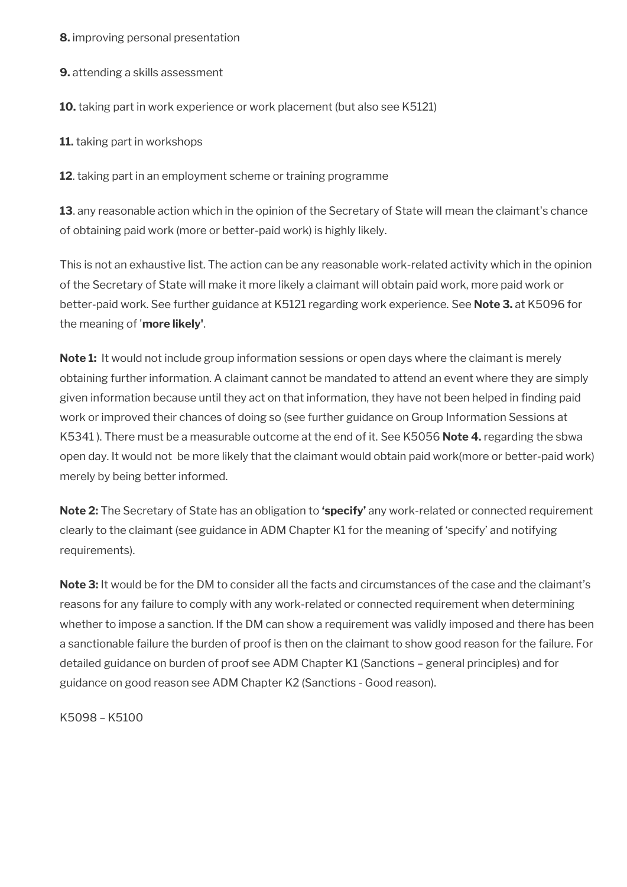**8.** improving personal presentation

**9.** attending a skills assessment

**10.** taking part in work experience or work placement (but also see K5121)

**11.** taking part in workshops

**12**. taking part in an employment scheme or training programme

**13**. any reasonable action which in the opinion of the Secretary of State will mean the claimant's chance of obtaining paid work (more or better-paid work) is highly likely.

This is not an exhaustive list. The action can be any reasonable work-related activity which in the opinion of the Secretary of State will make it more likely a claimant will obtain paid work, more paid work or better-paid work. See further guidance at K5121 regarding work experience. See **Note 3.** at K5096 for the meaning of '**more likely'**.

**Note 1:** It would not include group information sessions or open days where the claimant is merely obtaining further information. A claimant cannot be mandated to attend an event where they are simply given information because until they act on that information, they have not been helped in fnding paid work or improved their chances of doing so (see further guidance on Group Information Sessions at K5341 ). There must be a measurable outcome at the end of it. See K5056 **Note 4.** regarding the sbwa open day. It would not be more likely that the claimant would obtain paid work(more or better-paid work) merely by being better informed.

**Note 2:** The Secretary of State has an obligation to **'specify'** any work-related or connected requirement clearly to the claimant (see guidance in ADM Chapter K1 for the meaning of 'specify' and notifying requirements).

**Note 3:** It would be for the DM to consider all the facts and circumstances of the case and the claimant's reasons for any failure to comply with any work-related or connected requirement when determining whether to impose a sanction. If the DM can show a requirement was validly imposed and there has been a sanctionable failure the burden of proof is then on the claimant to show good reason for the failure. For detailed guidance on burden of proof see ADM Chapter K1 (Sanctions – general principles) and for guidance on good reason see ADM Chapter K2 (Sanctions - Good reason).

K5098 – K5100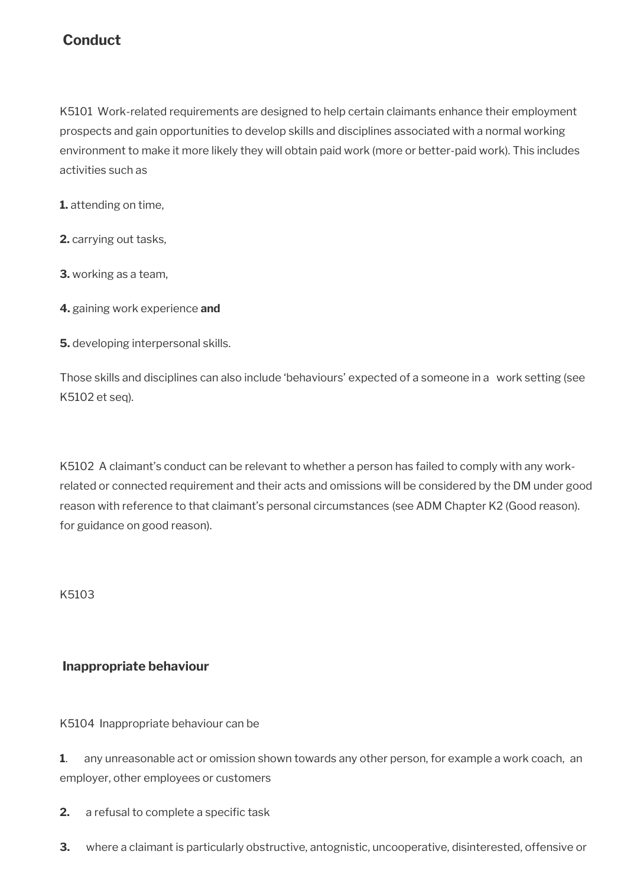## <span id="page-25-1"></span>**Conduct**

K5101 Work-related requirements are designed to help certain claimants enhance their employment prospects and gain opportunities to develop skills and disciplines associated with a normal working environment to make it more likely they will obtain paid work (more or better-paid work). This includes activities such as

**1.** attending on time,

**2.** carrying out tasks,

**3.** working as a team,

**4.** gaining work experience **and**

**5.** developing interpersonal skills.

Those skills and disciplines can also include 'behaviours' expected of a someone in a work setting (see K5102 et seq).

K5102 A claimant's conduct can be relevant to whether a person has failed to comply with any workrelated or connected requirement and their acts and omissions will be considered by the DM under good reason with reference to that claimant's personal circumstances (see ADM Chapter K2 (Good reason). for guidance on good reason).

K5103

#### <span id="page-25-0"></span>**Inappropriate behaviour**

K5104 Inappropriate behaviour can be

**1**. any unreasonable act or omission shown towards any other person, for example a work coach, an employer, other employees or customers

**2.** a refusal to complete a specific task

**3.** where a claimant is particularly obstructive, antognistic, uncooperative, disinterested, offensive or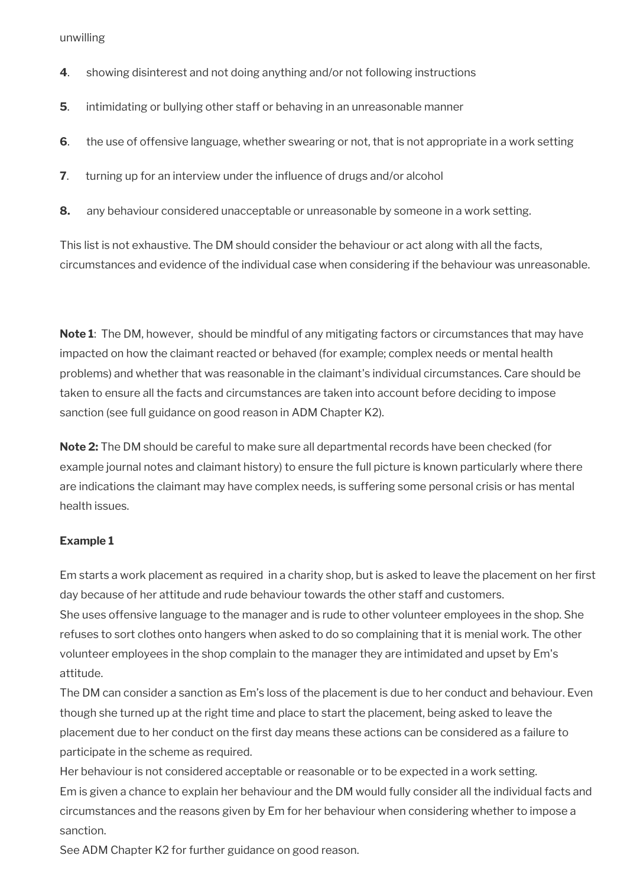unwilling

- **4**. showing disinterest and not doing anything and/or not following instructions
- **5**. intimidating or bullying other staff or behaving in an unreasonable manner
- **6**. the use of offensive language, whether swearing or not, that is not appropriate in a work setting
- **7**. turning up for an interview under the infuence of drugs and/or alcohol
- **8.** any behaviour considered unacceptable or unreasonable by someone in a work setting.

This list is not exhaustive. The DM should consider the behaviour or act along with all the facts, circumstances and evidence of the individual case when considering if the behaviour was unreasonable.

**Note 1**: The DM, however, should be mindful of any mitigating factors or circumstances that may have impacted on how the claimant reacted or behaved (for example; complex needs or mental health problems) and whether that was reasonable in the claimant's individual circumstances. Care should be taken to ensure all the facts and circumstances are taken into account before deciding to impose sanction (see full guidance on good reason in ADM Chapter K2).

**Note 2:** The DM should be careful to make sure all departmental records have been checked (for example journal notes and claimant history) to ensure the full picture is known particularly where there are indications the claimant may have complex needs, is suffering some personal crisis or has mental health issues.

#### **Example 1**

Em starts a work placement as required in a charity shop, but is asked to leave the placement on her frst day because of her attitude and rude behaviour towards the other staff and customers. She uses offensive language to the manager and is rude to other volunteer employees in the shop. She refuses to sort clothes onto hangers when asked to do so complaining that it is menial work. The other volunteer employees in the shop complain to the manager they are intimidated and upset by Em's attitude.

The DM can consider a sanction as Em's loss of the placement is due to her conduct and behaviour. Even though she turned up at the right time and place to start the placement, being asked to leave the placement due to her conduct on the frst day means these actions can be considered as a failure to participate in the scheme as required.

Her behaviour is not considered acceptable or reasonable or to be expected in a work setting. Em is given a chance to explain her behaviour and the DM would fully consider all the individual facts and circumstances and the reasons given by Em for her behaviour when considering whether to impose a sanction.

See ADM Chapter K2 for further guidance on good reason.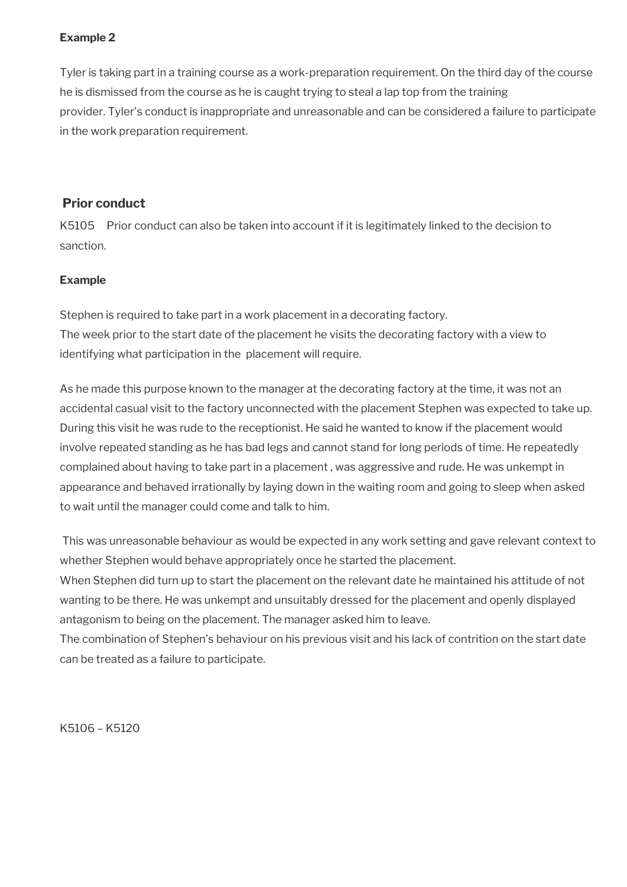#### **Example 2**

Tyler is taking part in a training course as a work-preparation requirement. On the third day of the course he is dismissed from the course as he is caught trying to steal a lap top from the training provider. Tyler's conduct is inappropriate and unreasonable and can be considered a failure to participate in the work preparation requirement.

#### <span id="page-27-0"></span>**Prior conduct**

K5105 Prior conduct can also be taken into account if it is legitimately linked to the decision to sanction.

#### **Example**

Stephen is required to take part in a work placement in a decorating factory. The week prior to the start date of the placement he visits the decorating factory with a view to identifying what participation in the placement will require.

As he made this purpose known to the manager at the decorating factory at the time, it was not an accidental casual visit to the factory unconnected with the placement Stephen was expected to take up. During this visit he was rude to the receptionist. He said he wanted to know if the placement would involve repeated standing as he has bad legs and cannot stand for long periods of time. He repeatedly complained about having to take part in a placement , was aggressive and rude. He was unkempt in appearance and behaved irrationally by laying down in the waiting room and going to sleep when asked to wait until the manager could come and talk to him.

This was unreasonable behaviour as would be expected in any work setting and gave relevant context to whether Stephen would behave appropriately once he started the placement.

When Stephen did turn up to start the placement on the relevant date he maintained his attitude of not wanting to be there. He was unkempt and unsuitably dressed for the placement and openly displayed antagonism to being on the placement. The manager asked him to leave.

The combination of Stephen's behaviour on his previous visit and his lack of contrition on the start date can be treated as a failure to participate.

K5106 – K5120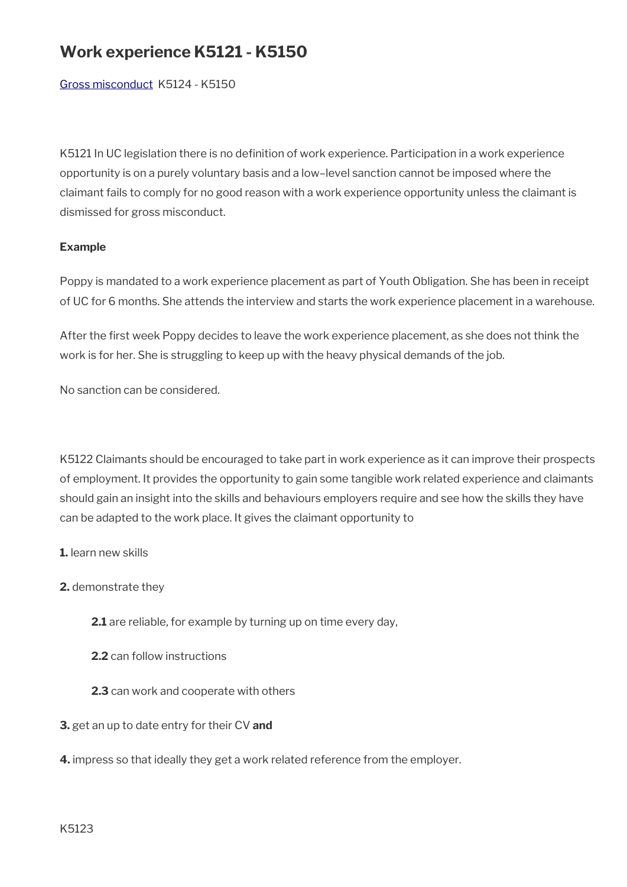# **Work experience K5121 - K5150**

[Gross misconduct](#page-29-0) K5124 - K5150

K5121 In UC legislation there is no definition of work experience. Participation in a work experience opportunity is on a purely voluntary basis and a low–level sanction cannot be imposed where the claimant fails to comply for no good reason with a work experience opportunity unless the claimant is dismissed for gross misconduct.

#### **Example**

Poppy is mandated to a work experience placement as part of Youth Obligation. She has been in receipt of UC for 6 months. She attends the interview and starts the work experience placement in a warehouse.

After the first week Poppy decides to leave the work experience placement, as she does not think the work is for her. She is struggling to keep up with the heavy physical demands of the job.

No sanction can be considered.

K5122 Claimants should be encouraged to take part in work experience as it can improve their prospects of employment. It provides the opportunity to gain some tangible work related experience and claimants should gain an insight into the skills and behaviours employers require and see how the skills they have can be adapted to the work place. It gives the claimant opportunity to

- **1.** learn new skills
- **2.** demonstrate they
	- **2.1** are reliable, for example by turning up on time every day,
	- **2.2** can follow instructions
	- **2.3** can work and cooperate with others
- **3.** get an up to date entry for their CV **and**
- **4.** impress so that ideally they get a work related reference from the employer.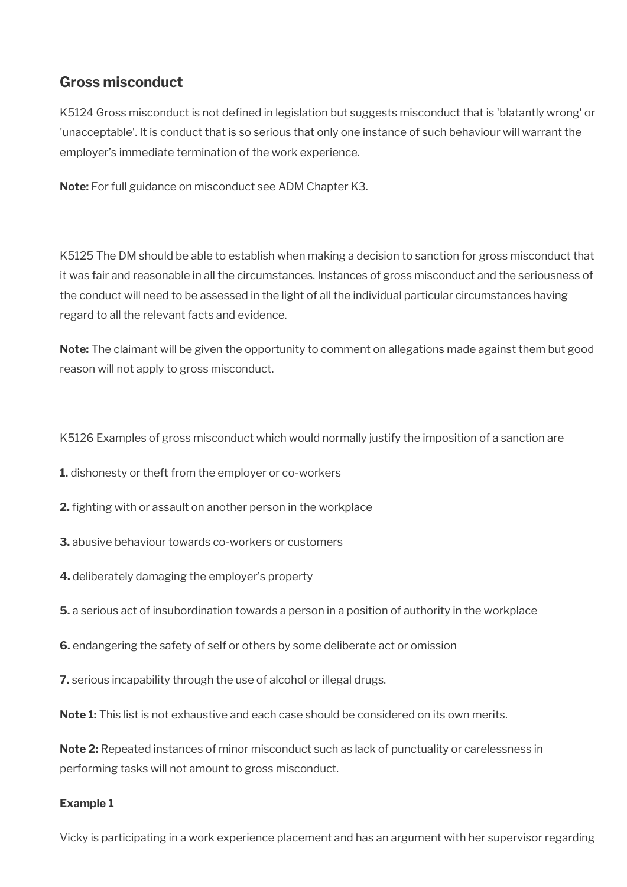## <span id="page-29-0"></span>**Gross misconduct**

K5124 Gross misconduct is not defined in legislation but suggests misconduct that is 'blatantly wrong' or 'unacceptable'. It is conduct that is so serious that only one instance of such behaviour will warrant the employer's immediate termination of the work experience.

**Note:** For full guidance on misconduct see ADM Chapter K3.

K5125 The DM should be able to establish when making a decision to sanction for gross misconduct that it was fair and reasonable in all the circumstances. Instances of gross misconduct and the seriousness of the conduct will need to be assessed in the light of all the individual particular circumstances having regard to all the relevant facts and evidence.

**Note:** The claimant will be given the opportunity to comment on allegations made against them but good reason will not apply to gross misconduct.

K5126 Examples of gross misconduct which would normally justify the imposition of a sanction are

- **1.** dishonesty or theft from the employer or co-workers
- **2.** fighting with or assault on another person in the workplace
- **3.** abusive behaviour towards co-workers or customers
- **4.** deliberately damaging the employer's property
- **5.** a serious act of insubordination towards a person in a position of authority in the workplace
- **6.** endangering the safety of self or others by some deliberate act or omission
- **7.** serious incapability through the use of alcohol or illegal drugs.

**Note 1:** This list is not exhaustive and each case should be considered on its own merits.

**Note 2:** Repeated instances of minor misconduct such as lack of punctuality or carelessness in performing tasks will not amount to gross misconduct.

#### **Example 1**

Vicky is participating in a work experience placement and has an argument with her supervisor regarding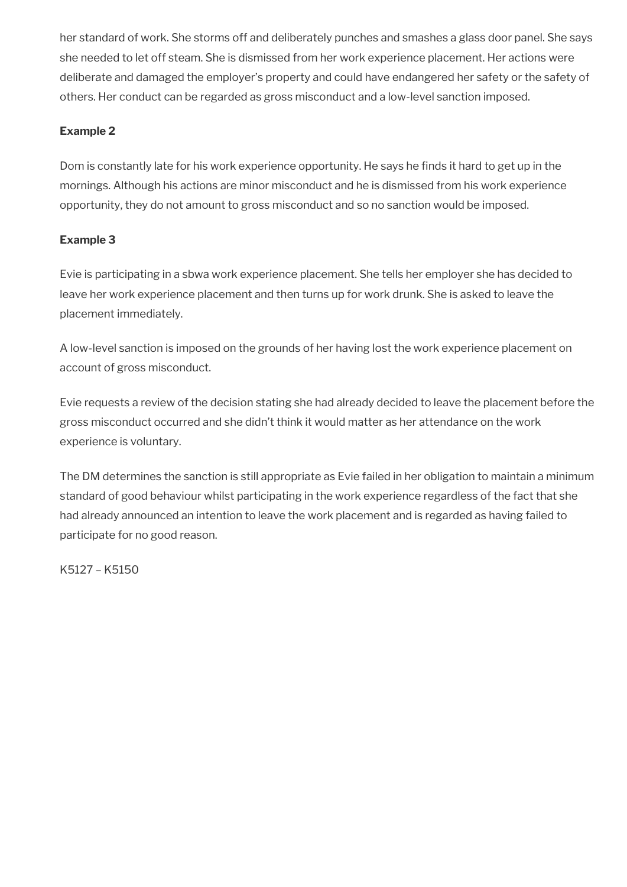her standard of work. She storms off and deliberately punches and smashes a glass door panel. She says she needed to let off steam. She is dismissed from her work experience placement. Her actions were deliberate and damaged the employer's property and could have endangered her safety or the safety of others. Her conduct can be regarded as gross misconduct and a low-level sanction imposed.

#### **Example 2**

Dom is constantly late for his work experience opportunity. He says he finds it hard to get up in the mornings. Although his actions are minor misconduct and he is dismissed from his work experience opportunity, they do not amount to gross misconduct and so no sanction would be imposed.

#### **Example 3**

Evie is participating in a sbwa work experience placement. She tells her employer she has decided to leave her work experience placement and then turns up for work drunk. She is asked to leave the placement immediately.

A low-level sanction is imposed on the grounds of her having lost the work experience placement on account of gross misconduct.

Evie requests a review of the decision stating she had already decided to leave the placement before the gross misconduct occurred and she didn't think it would matter as her attendance on the work experience is voluntary.

The DM determines the sanction is still appropriate as Evie failed in her obligation to maintain a minimum standard of good behaviour whilst participating in the work experience regardless of the fact that she had already announced an intention to leave the work placement and is regarded as having failed to participate for no good reason.

K5127 – K5150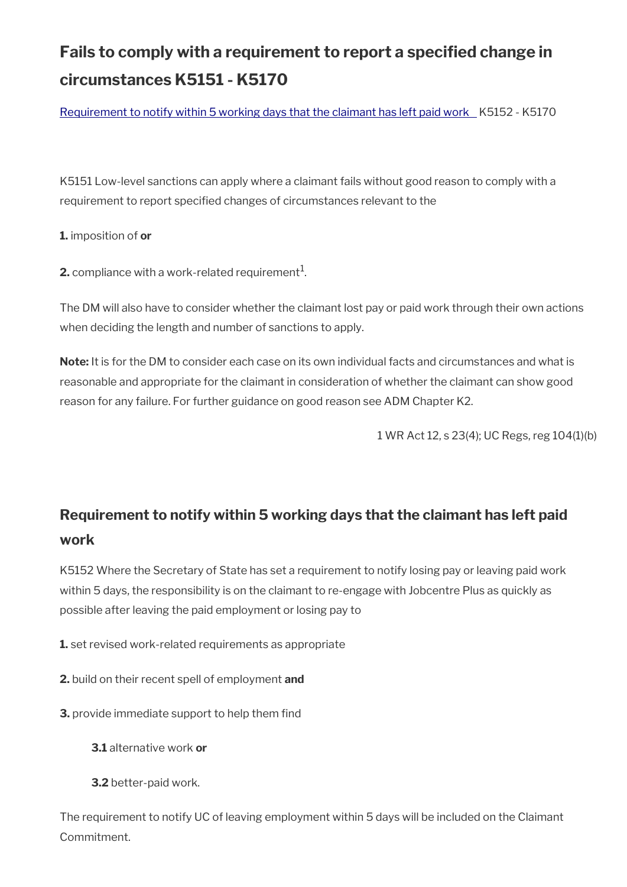# **Fails to comply with a requirement to report a specifed change in circumstances K5151 - K5170**

[Requirement to notify within 5 working days that the claimant has left paid work](#page-31-0) K5152 - K5170

K5151 Low-level sanctions can apply where a claimant fails without good reason to comply with a requirement to report specifed changes of circumstances relevant to the

**1.** imposition of **or**

**2.** compliance with a work-related requirement $^1$ .

The DM will also have to consider whether the claimant lost pay or paid work through their own actions when deciding the length and number of sanctions to apply.

**Note:** It is for the DM to consider each case on its own individual facts and circumstances and what is reasonable and appropriate for the claimant in consideration of whether the claimant can show good reason for any failure. For further guidance on good reason see ADM Chapter K2.

1 WR Act 12, s 23(4); UC Regs, reg 104(1)(b)

# <span id="page-31-0"></span>**Requirement to notify within 5 working days that the claimant has left paid work**

K5152 Where the Secretary of State has set a requirement to notify losing pay or leaving paid work within 5 days, the responsibility is on the claimant to re-engage with Jobcentre Plus as quickly as possible after leaving the paid employment or losing pay to

**1.** set revised work-related requirements as appropriate

**2.** build on their recent spell of employment **and**

**3.** provide immediate support to help them find

- **3.1** alternative work **or**
- **3.2** better-paid work.

The requirement to notify UC of leaving employment within 5 days will be included on the Claimant Commitment.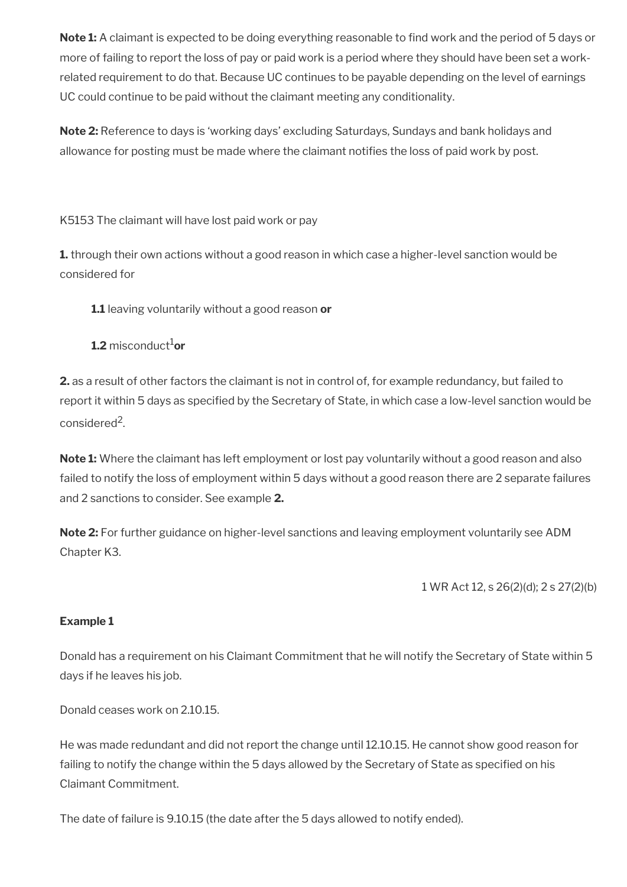Note 1: A claimant is expected to be doing everything reasonable to find work and the period of 5 days or more of failing to report the loss of pay or paid work is a period where they should have been set a workrelated requirement to do that. Because UC continues to be payable depending on the level of earnings UC could continue to be paid without the claimant meeting any conditionality.

**Note 2:** Reference to days is 'working days' excluding Saturdays, Sundays and bank holidays and allowance for posting must be made where the claimant notifes the loss of paid work by post.

K5153 The claimant will have lost paid work or pay

**1.** through their own actions without a good reason in which case a higher-level sanction would be considered for

**1.1** leaving voluntarily without a good reason **or**

**1.2** misconduct<sup>1</sup>or

**2.** as a result of other factors the claimant is not in control of, for example redundancy, but failed to report it within 5 days as specifed by the Secretary of State, in which case a low-level sanction would be considered<sup>2</sup>.

**Note 1:** Where the claimant has left employment or lost pay voluntarily without a good reason and also failed to notify the loss of employment within 5 days without a good reason there are 2 separate failures and 2 sanctions to consider. See example **2.**

**Note 2:** For further guidance on higher-level sanctions and leaving employment voluntarily see ADM Chapter K3.

1 WR Act 12, s 26(2)(d); 2 s 27(2)(b)

#### **Example 1**

Donald has a requirement on his Claimant Commitment that he will notify the Secretary of State within 5 days if he leaves his job.

Donald ceases work on 2.10.15.

He was made redundant and did not report the change until 12.10.15. He cannot show good reason for failing to notify the change within the 5 days allowed by the Secretary of State as specifed on his Claimant Commitment.

The date of failure is 9.10.15 (the date after the 5 days allowed to notify ended).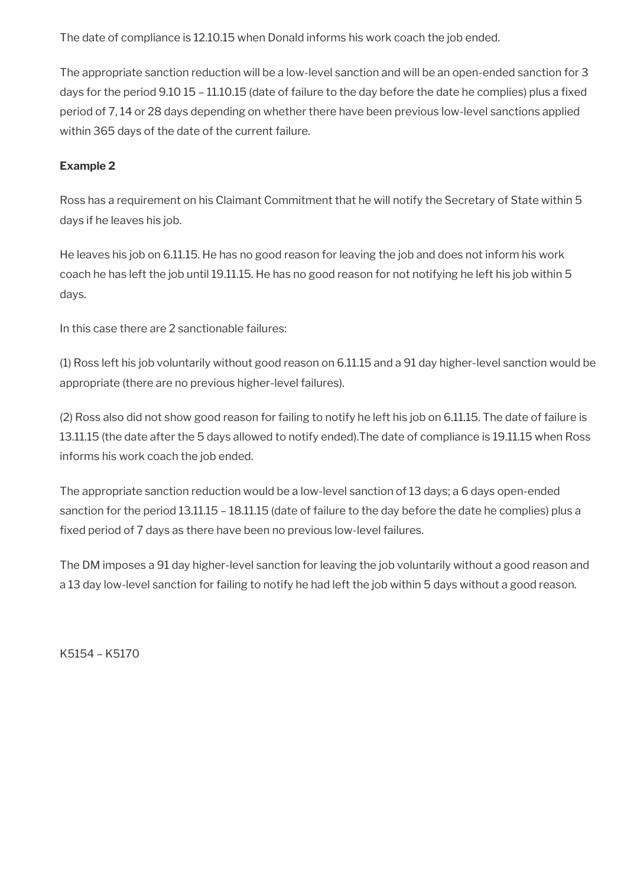The date of compliance is 12.10.15 when Donald informs his work coach the job ended.

The appropriate sanction reduction will be a low-level sanction and will be an open-ended sanction for 3 days for the period 9.10 15 – 11.10.15 (date of failure to the day before the date he complies) plus a fixed period of 7, 14 or 28 days depending on whether there have been previous low-level sanctions applied within 365 days of the date of the current failure.

#### **Example 2**

Ross has a requirement on his Claimant Commitment that he will notify the Secretary of State within 5 days if he leaves his job.

He leaves his job on 6.11.15. He has no good reason for leaving the job and does not inform his work coach he has left the job until 19.11.15. He has no good reason for not notifying he left his job within 5 days.

In this case there are 2 sanctionable failures:

(1) Ross left his job voluntarily without good reason on 6.11.15 and a 91 day higher-level sanction would be appropriate (there are no previous higher-level failures).

(2) Ross also did not show good reason for failing to notify he left his job on 6.11.15. The date of failure is 13.11.15 (the date after the 5 days allowed to notify ended).The date of compliance is 19.11.15 when Ross informs his work coach the job ended.

The appropriate sanction reduction would be a low-level sanction of 13 days; a 6 days open-ended sanction for the period 13.11.15 – 18.11.15 (date of failure to the day before the date he complies) plus a fixed period of 7 days as there have been no previous low-level failures.

The DM imposes a 91 day higher-level sanction for leaving the job voluntarily without a good reason and a 13 day low-level sanction for failing to notify he had left the job within 5 days without a good reason.

K5154 – K5170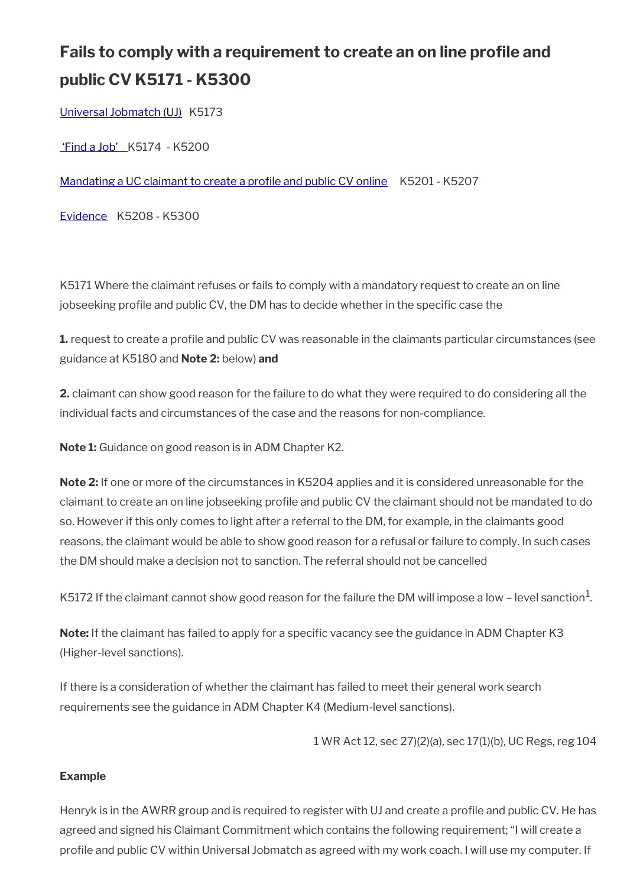# **Fails to comply with a requirement to create an on line profle and public CV K5171 - K5300**

[Universal Jobmatch \(UJ\)](#page-35-1) K5173

 ['Find a Job'](#page-35-0) K5174 - K5200

[Mandating a UC claimant to create a profle and public CV online](#page-38-0) K5201 - K5207

[Evidence](#page-41-0) K5208 - K5300

K5171 Where the claimant refuses or fails to comply with a mandatory request to create an on line jobseeking profile and public CV, the DM has to decide whether in the specific case the

**1.** request to create a profile and public CV was reasonable in the claimants particular circumstances (see guidance at K5180 and **Note 2:** below) **and**

**2.** claimant can show good reason for the failure to do what they were required to do considering all the individual facts and circumstances of the case and the reasons for non-compliance.

**Note 1:** Guidance on good reason is in ADM Chapter K2.

**Note 2:** If one or more of the circumstances in K5204 applies and it is considered unreasonable for the claimant to create an on line jobseeking profle and public CV the claimant should not be mandated to do so. However if this only comes to light after a referral to the DM, for example, in the claimants good reasons, the claimant would be able to show good reason for a refusal or failure to comply. In such cases the DM should make a decision not to sanction. The referral should not be cancelled

K5172 If the claimant cannot show good reason for the failure the DM will impose a low – level sanction $^1\!$ 

Note: If the claimant has failed to apply for a specific vacancy see the guidance in ADM Chapter K3 (Higher-level sanctions).

If there is a consideration of whether the claimant has failed to meet their general work search requirements see the guidance in ADM Chapter K4 (Medium-level sanctions).

1 WR Act 12, sec 27)(2)(a), sec 17(1)(b), UC Regs, reg 104

#### **Example**

Henryk is in the AWRR group and is required to register with UJ and create a profle and public CV. He has agreed and signed his Claimant Commitment which contains the following requirement; "I will create a profle and public CV within Universal Jobmatch as agreed with my work coach. I will use my computer. If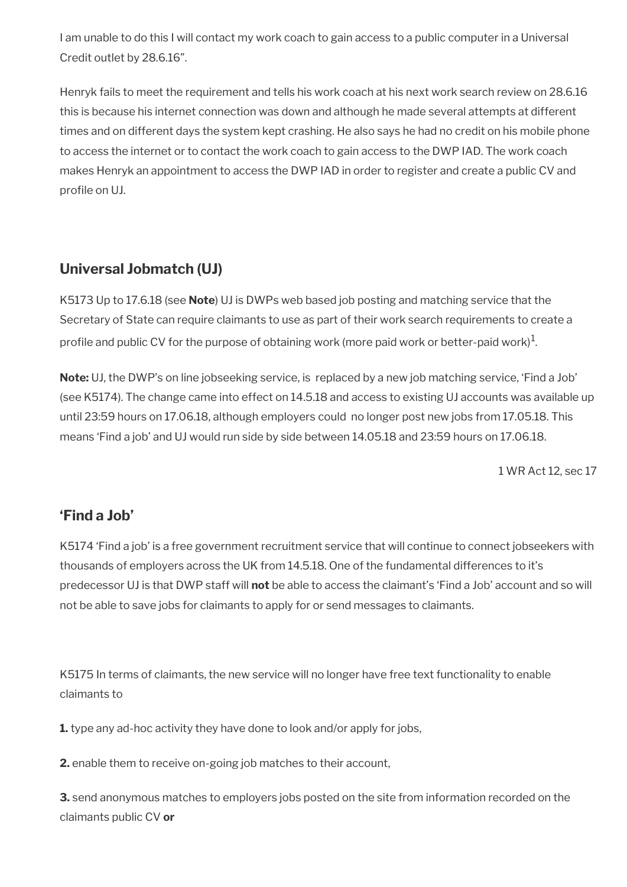I am unable to do this I will contact my work coach to gain access to a public computer in a Universal Credit outlet by 28.6.16".

Henryk fails to meet the requirement and tells his work coach at his next work search review on 28.6.16 this is because his internet connection was down and although he made several attempts at different times and on different days the system kept crashing. He also says he had no credit on his mobile phone to access the internet or to contact the work coach to gain access to the DWP IAD. The work coach makes Henryk an appointment to access the DWP IAD in order to register and create a public CV and profle on UJ.

# <span id="page-35-1"></span>**Universal Jobmatch (UJ)**

K5173 Up to 17.6.18 (see **Note**) UJ is DWPs web based job posting and matching service that the Secretary of State can require claimants to use as part of their work search requirements to create a profile and public CV for the purpose of obtaining work (more paid work or better-paid work) $^1$ .

**Note:** UJ, the DWP's on line jobseeking service, is replaced by a new job matching service, 'Find a Job' (see K5174). The change came into effect on 14.5.18 and access to existing UJ accounts was available up until 23:59 hours on 17.06.18, although employers could no longer post new jobs from 17.05.18. This means 'Find a job' and UJ would run side by side between 14.05.18 and 23:59 hours on 17.06.18.

1 WR Act 12, sec 17

## <span id="page-35-0"></span>**'Find a Job'**

K5174 'Find a job' is a free government recruitment service that will continue to connect jobseekers with thousands of employers across the UK from 14.5.18. One of the fundamental differences to it's predecessor UJ is that DWP staff will **not** be able to access the claimant's 'Find a Job' account and so will not be able to save jobs for claimants to apply for or send messages to claimants.

K5175 In terms of claimants, the new service will no longer have free text functionality to enable claimants to

**1.** type any ad-hoc activity they have done to look and/or apply for jobs,

**2.** enable them to receive on-going job matches to their account,

**3.** send anonymous matches to employers jobs posted on the site from information recorded on the claimants public CV **or**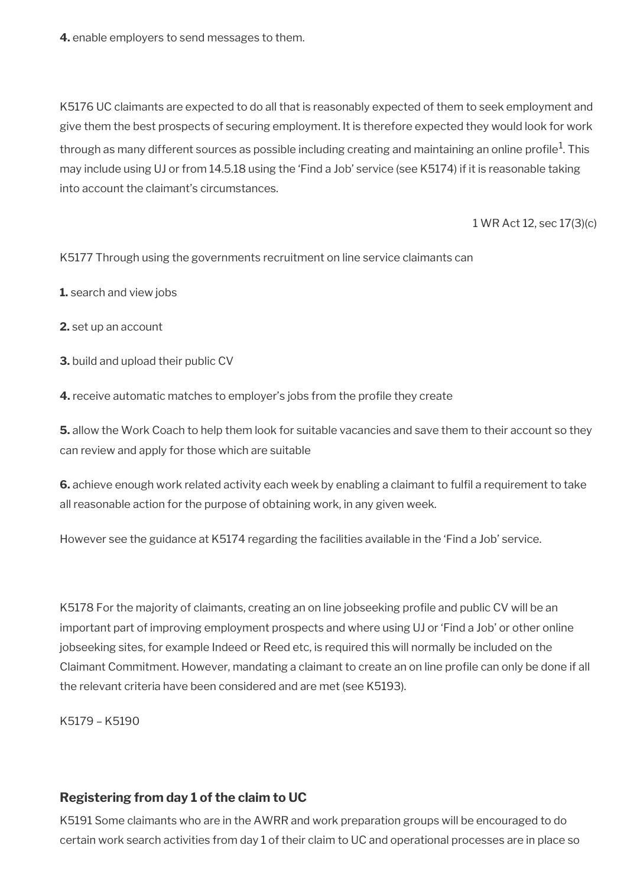**4.** enable employers to send messages to them.

K5176 UC claimants are expected to do all that is reasonably expected of them to seek employment and give them the best prospects of securing employment. It is therefore expected they would look for work through as many different sources as possible including creating and maintaining an online profile $^{\rm 1}$ . This may include using UJ or from 14.5.18 using the 'Find a Job' service (see K5174) if it is reasonable taking into account the claimant's circumstances.

1 WR Act 12, sec 17(3)(c)

K5177 Through using the governments recruitment on line service claimants can

**1.** search and view jobs

**2.** set up an account

**3.** build and upload their public CV

**4.** receive automatic matches to employer's jobs from the profle they create

**5.** allow the Work Coach to help them look for suitable vacancies and save them to their account so they can review and apply for those which are suitable

**6.** achieve enough work related activity each week by enabling a claimant to fulfil a requirement to take all reasonable action for the purpose of obtaining work, in any given week.

However see the guidance at K5174 regarding the facilities available in the 'Find a Job' service.

K5178 For the majority of claimants, creating an on line jobseeking profile and public CV will be an important part of improving employment prospects and where using UJ or 'Find a Job' or other online jobseeking sites, for example Indeed or Reed etc, is required this will normally be included on the Claimant Commitment. However, mandating a claimant to create an on line profle can only be done if all the relevant criteria have been considered and are met (see K5193).

K5179 – K5190

#### **Registering from day 1 of the claim to UC**

K5191 Some claimants who are in the AWRR and work preparation groups will be encouraged to do certain work search activities from day 1 of their claim to UC and operational processes are in place so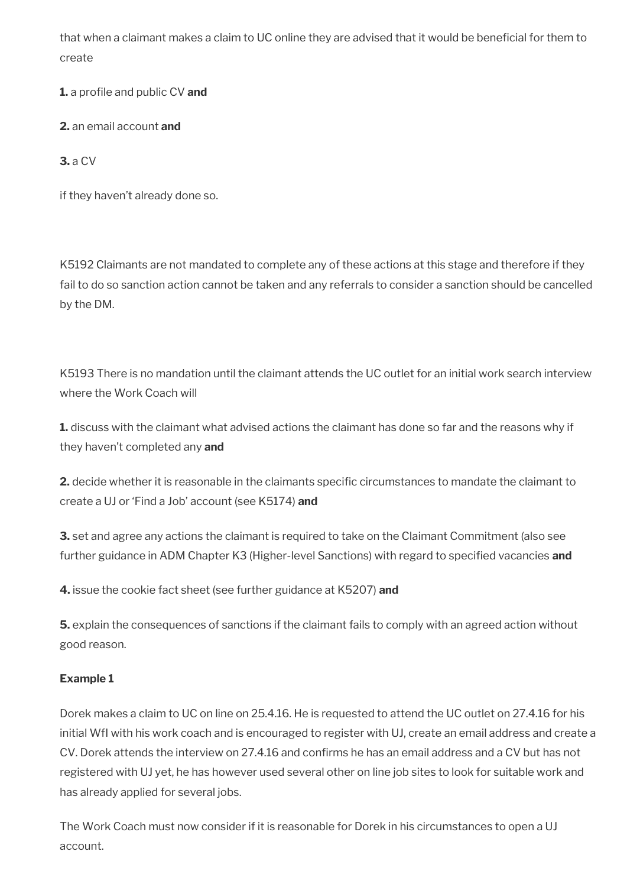that when a claimant makes a claim to UC online they are advised that it would be beneficial for them to create

**1.** a profle and public CV **and**

**2.** an email account **and**

**3.** a CV

if they haven't already done so.

K5192 Claimants are not mandated to complete any of these actions at this stage and therefore if they fail to do so sanction action cannot be taken and any referrals to consider a sanction should be cancelled by the DM.

K5193 There is no mandation until the claimant attends the UC outlet for an initial work search interview where the Work Coach will

**1.** discuss with the claimant what advised actions the claimant has done so far and the reasons why if they haven't completed any **and**

**2.** decide whether it is reasonable in the claimants specifc circumstances to mandate the claimant to create a UJ or 'Find a Job' account (see K5174) **and**

**3.** set and agree any actions the claimant is required to take on the Claimant Commitment (also see further guidance in ADM Chapter K3 (Higher-level Sanctions) with regard to specifed vacancies **and**

**4.** issue the cookie fact sheet (see further guidance at K5207) **and**

**5.** explain the consequences of sanctions if the claimant fails to comply with an agreed action without good reason.

#### **Example 1**

Dorek makes a claim to UC on line on 25.4.16. He is requested to attend the UC outlet on 27.4.16 for his initial WfI with his work coach and is encouraged to register with UJ, create an email address and create a CV. Dorek attends the interview on 27.4.16 and confrms he has an email address and a CV but has not registered with UJ yet, he has however used several other on line job sites to look for suitable work and has already applied for several jobs.

The Work Coach must now consider if it is reasonable for Dorek in his circumstances to open a UJ account.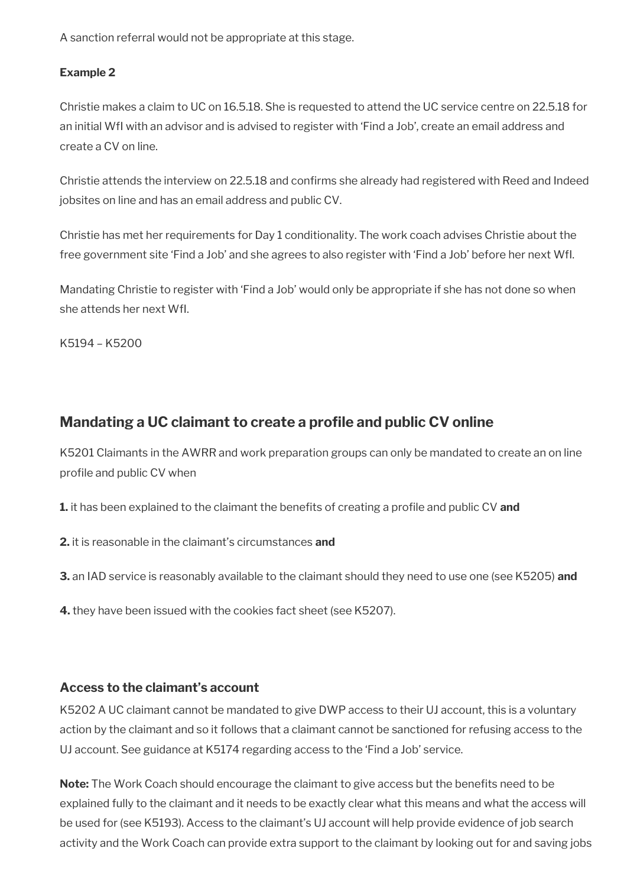A sanction referral would not be appropriate at this stage.

#### **Example 2**

Christie makes a claim to UC on 16.5.18. She is requested to attend the UC service centre on 22.5.18 for an initial WfI with an advisor and is advised to register with 'Find a Job', create an email address and create a CV on line.

Christie attends the interview on 22.5.18 and confrms she already had registered with Reed and Indeed jobsites on line and has an email address and public CV.

Christie has met her requirements for Day 1 conditionality. The work coach advises Christie about the free government site 'Find a Job' and she agrees to also register with 'Find a Job' before her next WfI.

Mandating Christie to register with 'Find a Job' would only be appropriate if she has not done so when she attends her next WfI.

K5194 – K5200

## <span id="page-38-0"></span>**Mandating a UC claimant to create a profle and public CV online**

K5201 Claimants in the AWRR and work preparation groups can only be mandated to create an on line profle and public CV when

**1.** it has been explained to the claimant the benefits of creating a profile and public CV and

**2.** it is reasonable in the claimant's circumstances **and**

**3.** an IAD service is reasonably available to the claimant should they need to use one (see K5205) **and**

**4.** they have been issued with the cookies fact sheet (see K5207).

#### **Access to the claimant's account**

K5202 A UC claimant cannot be mandated to give DWP access to their UJ account, this is a voluntary action by the claimant and so it follows that a claimant cannot be sanctioned for refusing access to the UJ account. See guidance at K5174 regarding access to the 'Find a Job' service.

**Note:** The Work Coach should encourage the claimant to give access but the benefits need to be explained fully to the claimant and it needs to be exactly clear what this means and what the access will be used for (see K5193). Access to the claimant's UJ account will help provide evidence of job search activity and the Work Coach can provide extra support to the claimant by looking out for and saving jobs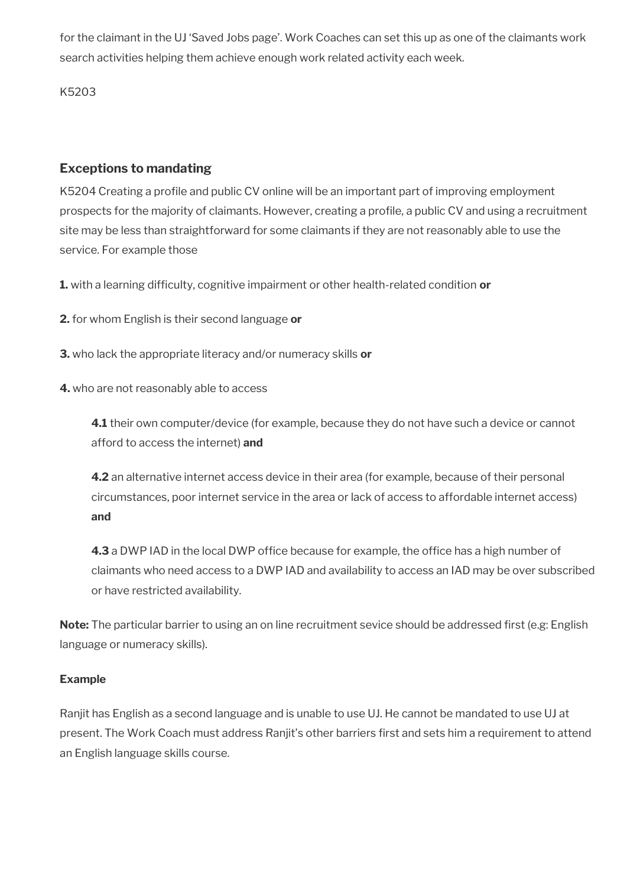for the claimant in the UJ 'Saved Jobs page'. Work Coaches can set this up as one of the claimants work search activities helping them achieve enough work related activity each week.

K5203

#### **Exceptions to mandating**

K5204 Creating a profle and public CV online will be an important part of improving employment prospects for the majority of claimants. However, creating a profile, a public CV and using a recruitment site may be less than straightforward for some claimants if they are not reasonably able to use the service. For example those

1. with a learning difficulty, cognitive impairment or other health-related condition or

**2.** for whom English is their second language **or**

- **3.** who lack the appropriate literacy and/or numeracy skills **or**
- **4.** who are not reasonably able to access

**4.1** their own computer/device (for example, because they do not have such a device or cannot afford to access the internet) **and**

**4.2** an alternative internet access device in their area (for example, because of their personal circumstances, poor internet service in the area or lack of access to affordable internet access) **and**

4.3 a DWP IAD in the local DWP office because for example, the office has a high number of claimants who need access to a DWP IAD and availability to access an IAD may be over subscribed or have restricted availability.

Note: The particular barrier to using an on line recruitment sevice should be addressed first (e.g: English language or numeracy skills).

#### **Example**

Ranjit has English as a second language and is unable to use UJ. He cannot be mandated to use UJ at present. The Work Coach must address Ranjit's other barriers frst and sets him a requirement to attend an English language skills course.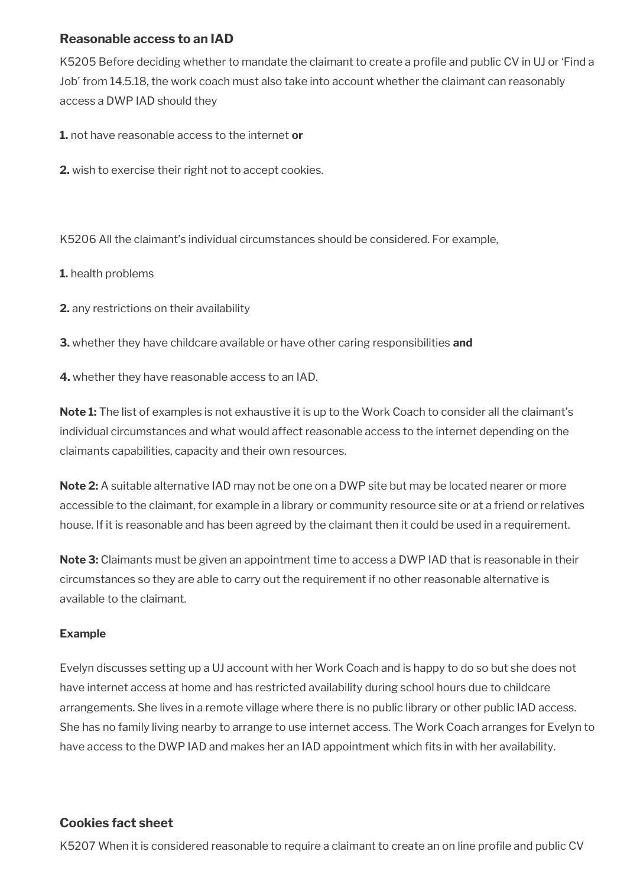#### **Reasonable access to an IAD**

K5205 Before deciding whether to mandate the claimant to create a profle and public CV in UJ or 'Find a Job' from 14.5.18, the work coach must also take into account whether the claimant can reasonably access a DWP IAD should they

**1.** not have reasonable access to the internet **or**

**2.** wish to exercise their right not to accept cookies.

K5206 All the claimant's individual circumstances should be considered. For example,

**1.** health problems

**2.** any restrictions on their availability

**3.** whether they have childcare available or have other caring responsibilities **and**

**4.** whether they have reasonable access to an IAD.

**Note 1:** The list of examples is not exhaustive it is up to the Work Coach to consider all the claimant's individual circumstances and what would affect reasonable access to the internet depending on the claimants capabilities, capacity and their own resources.

**Note 2:** A suitable alternative IAD may not be one on a DWP site but may be located nearer or more accessible to the claimant, for example in a library or community resource site or at a friend or relatives house. If it is reasonable and has been agreed by the claimant then it could be used in a requirement.

**Note 3:** Claimants must be given an appointment time to access a DWP IAD that is reasonable in their circumstances so they are able to carry out the requirement if no other reasonable alternative is available to the claimant.

#### **Example**

Evelyn discusses setting up a UJ account with her Work Coach and is happy to do so but she does not have internet access at home and has restricted availability during school hours due to childcare arrangements. She lives in a remote village where there is no public library or other public IAD access. She has no family living nearby to arrange to use internet access. The Work Coach arranges for Evelyn to have access to the DWP IAD and makes her an IAD appointment which fits in with her availability.

#### **Cookies fact sheet**

K5207 When it is considered reasonable to require a claimant to create an on line profile and public CV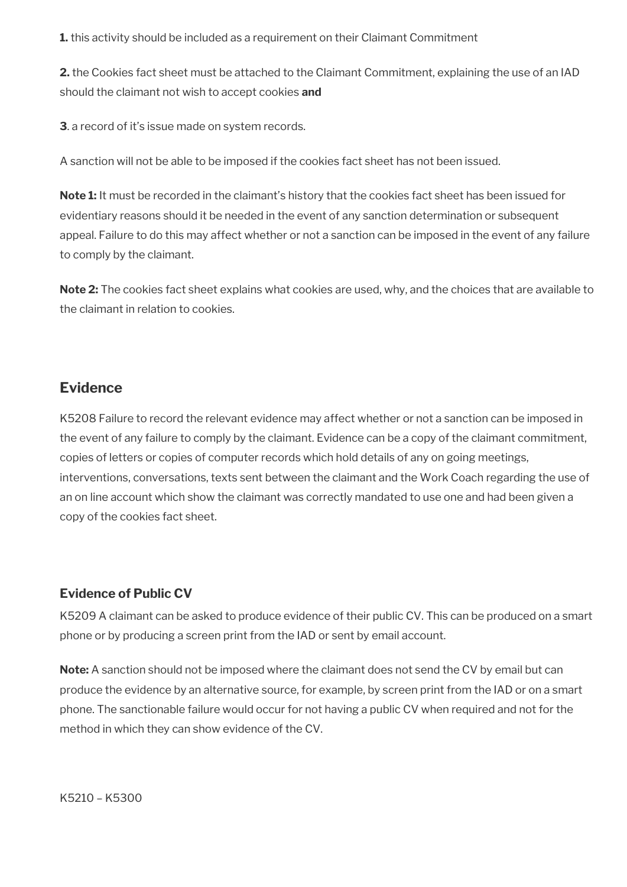**1.** this activity should be included as a requirement on their Claimant Commitment

**2.** the Cookies fact sheet must be attached to the Claimant Commitment, explaining the use of an IAD should the claimant not wish to accept cookies **and**

**3**. a record of it's issue made on system records.

A sanction will not be able to be imposed if the cookies fact sheet has not been issued.

**Note 1:** It must be recorded in the claimant's history that the cookies fact sheet has been issued for evidentiary reasons should it be needed in the event of any sanction determination or subsequent appeal. Failure to do this may affect whether or not a sanction can be imposed in the event of any failure to comply by the claimant.

**Note 2:** The cookies fact sheet explains what cookies are used, why, and the choices that are available to the claimant in relation to cookies.

### <span id="page-41-0"></span>**Evidence**

K5208 Failure to record the relevant evidence may affect whether or not a sanction can be imposed in the event of any failure to comply by the claimant. Evidence can be a copy of the claimant commitment, copies of letters or copies of computer records which hold details of any on going meetings, interventions, conversations, texts sent between the claimant and the Work Coach regarding the use of an on line account which show the claimant was correctly mandated to use one and had been given a copy of the cookies fact sheet.

#### **Evidence of Public CV**

K5209 A claimant can be asked to produce evidence of their public CV. This can be produced on a smart phone or by producing a screen print from the IAD or sent by email account.

**Note:** A sanction should not be imposed where the claimant does not send the CV by email but can produce the evidence by an alternative source, for example, by screen print from the IAD or on a smart phone. The sanctionable failure would occur for not having a public CV when required and not for the method in which they can show evidence of the CV.

K5210 – K5300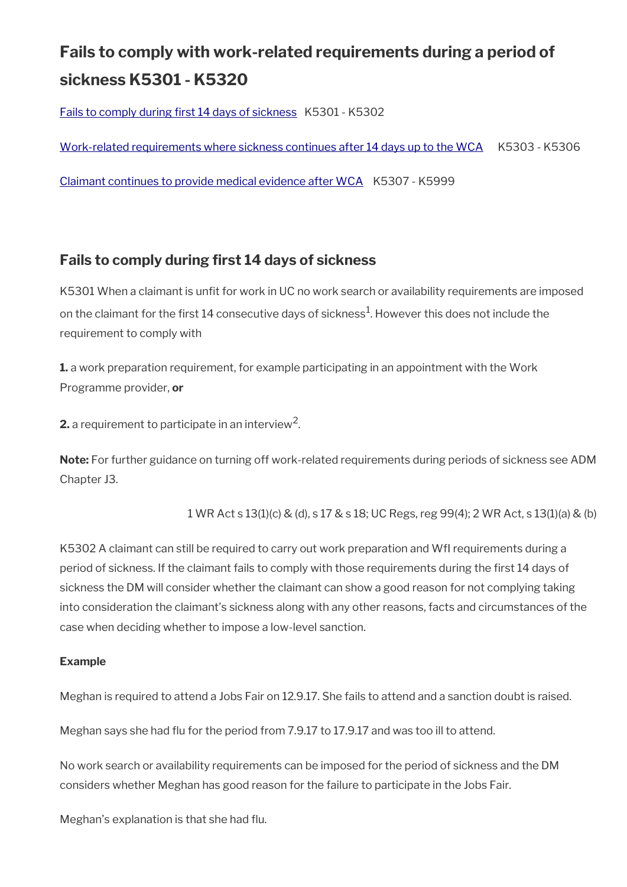# **Fails to comply with work-related requirements during a period of sickness K5301 - K5320**

Fails to comply during first 14 days of sickness K5301 - K5302

[Work-related requirements where sickness continues after 14 days up to the WCA](#page-43-0) K5303 - K5306

[Claimant continues to provide medical evidence after WCA](#page-45-0) K5307 - K5999

## <span id="page-42-0"></span>**Fails to comply during frst 14 days of sickness**

K5301 When a claimant is unfit for work in UC no work search or availability requirements are imposed on the claimant for the first 14 consecutive days of sickness $^{\rm 1}$ . However this does not include the requirement to comply with

**1.** a work preparation requirement, for example participating in an appointment with the Work Programme provider, **or**

**2.** a requirement to participate in an interview<sup>2</sup>.

**Note:** For further guidance on turning off work-related requirements during periods of sickness see ADM Chapter J3.

1 WR Act s 13(1)(c) & (d), s 17 & s 18; UC Regs, reg 99(4); 2 WR Act, s 13(1)(a) & (b)

K5302 A claimant can still be required to carry out work preparation and WfI requirements during a period of sickness. If the claimant fails to comply with those requirements during the first 14 days of sickness the DM will consider whether the claimant can show a good reason for not complying taking into consideration the claimant's sickness along with any other reasons, facts and circumstances of the case when deciding whether to impose a low-level sanction.

#### **Example**

Meghan is required to attend a Jobs Fair on 12.9.17. She fails to attend and a sanction doubt is raised.

Meghan says she had fu for the period from 7.9.17 to 17.9.17 and was too ill to attend.

No work search or availability requirements can be imposed for the period of sickness and the DM considers whether Meghan has good reason for the failure to participate in the Jobs Fair.

Meghan's explanation is that she had fu.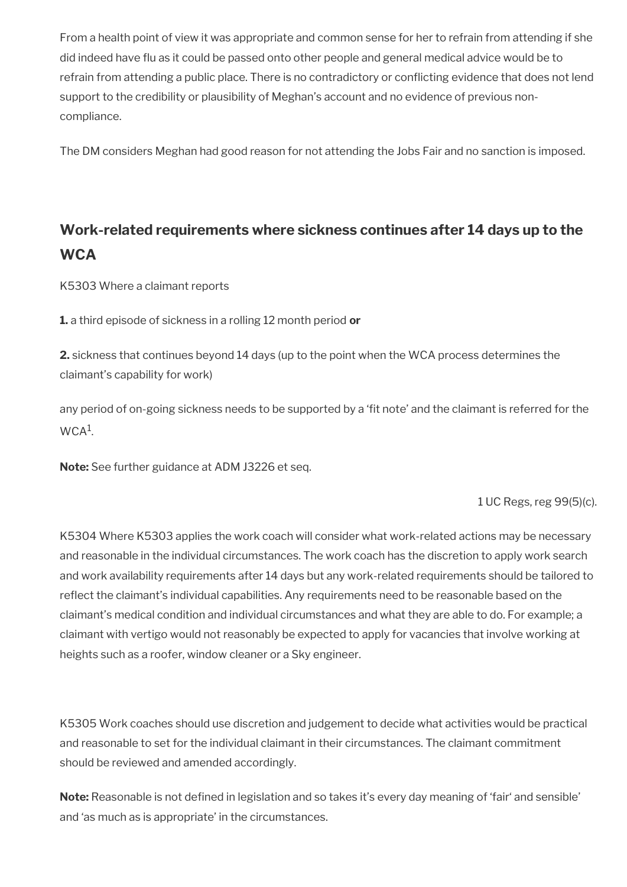From a health point of view it was appropriate and common sense for her to refrain from attending if she did indeed have fu as it could be passed onto other people and general medical advice would be to refrain from attending a public place. There is no contradictory or conficting evidence that does not lend support to the credibility or plausibility of Meghan's account and no evidence of previous noncompliance.

The DM considers Meghan had good reason for not attending the Jobs Fair and no sanction is imposed.

# <span id="page-43-0"></span>**Work-related requirements where sickness continues after 14 days up to the WCA**

K5303 Where a claimant reports

**1.** a third episode of sickness in a rolling 12 month period **or**

**2.** sickness that continues beyond 14 days (up to the point when the WCA process determines the claimant's capability for work)

any period of on-going sickness needs to be supported by a 'fit note' and the claimant is referred for the  $WCA<sup>1</sup>$ .

**Note:** See further guidance at ADM J3226 et seq.

1 UC Regs, reg 99(5)(c).

K5304 Where K5303 applies the work coach will consider what work-related actions may be necessary and reasonable in the individual circumstances. The work coach has the discretion to apply work search and work availability requirements after 14 days but any work-related requirements should be tailored to refect the claimant's individual capabilities. Any requirements need to be reasonable based on the claimant's medical condition and individual circumstances and what they are able to do. For example; a claimant with vertigo would not reasonably be expected to apply for vacancies that involve working at heights such as a roofer, window cleaner or a Sky engineer.

K5305 Work coaches should use discretion and judgement to decide what activities would be practical and reasonable to set for the individual claimant in their circumstances. The claimant commitment should be reviewed and amended accordingly.

**Note:** Reasonable is not defined in legislation and so takes it's every day meaning of 'fair' and sensible' and 'as much as is appropriate' in the circumstances.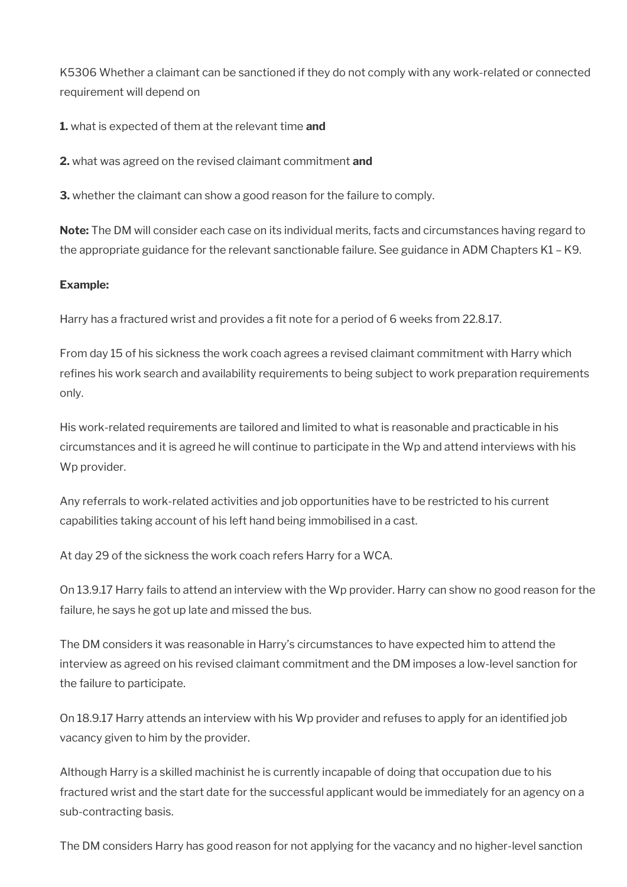K5306 Whether a claimant can be sanctioned if they do not comply with any work-related or connected requirement will depend on

**1.** what is expected of them at the relevant time **and**

**2.** what was agreed on the revised claimant commitment **and** 

**3.** whether the claimant can show a good reason for the failure to comply.

**Note:** The DM will consider each case on its individual merits, facts and circumstances having regard to the appropriate guidance for the relevant sanctionable failure. See guidance in ADM Chapters K1 – K9.

#### **Example:**

Harry has a fractured wrist and provides a fit note for a period of 6 weeks from 22.8.17.

From day 15 of his sickness the work coach agrees a revised claimant commitment with Harry which refines his work search and availability requirements to being subject to work preparation requirements only.

His work-related requirements are tailored and limited to what is reasonable and practicable in his circumstances and it is agreed he will continue to participate in the Wp and attend interviews with his Wp provider.

Any referrals to work-related activities and job opportunities have to be restricted to his current capabilities taking account of his left hand being immobilised in a cast.

At day 29 of the sickness the work coach refers Harry for a WCA.

On 13.9.17 Harry fails to attend an interview with the Wp provider. Harry can show no good reason for the failure, he says he got up late and missed the bus.

The DM considers it was reasonable in Harry's circumstances to have expected him to attend the interview as agreed on his revised claimant commitment and the DM imposes a low-level sanction for the failure to participate.

On 18.9.17 Harry attends an interview with his Wp provider and refuses to apply for an identifed job vacancy given to him by the provider.

Although Harry is a skilled machinist he is currently incapable of doing that occupation due to his fractured wrist and the start date for the successful applicant would be immediately for an agency on a sub-contracting basis.

The DM considers Harry has good reason for not applying for the vacancy and no higher-level sanction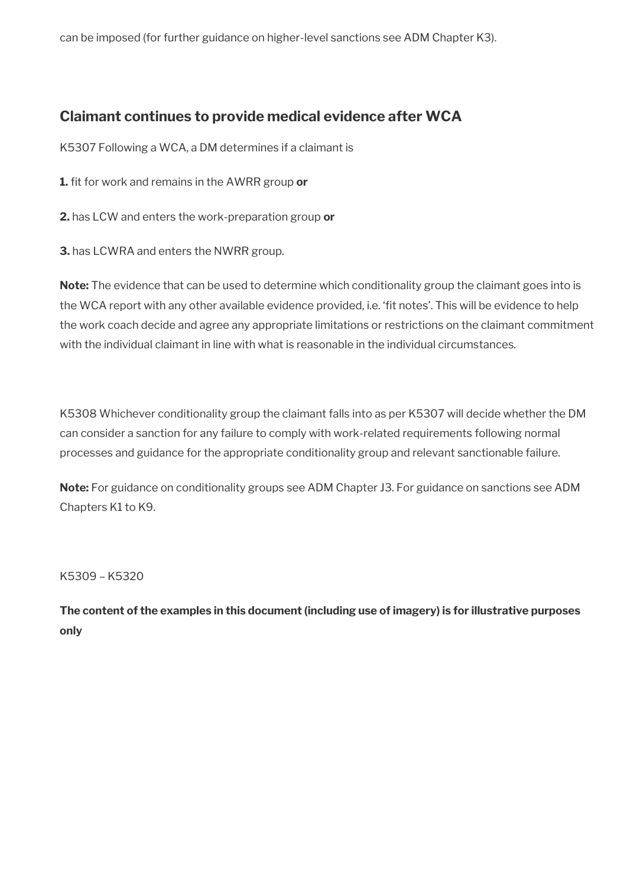can be imposed (for further guidance on higher-level sanctions see ADM Chapter K3).

### <span id="page-45-0"></span>**Claimant continues to provide medical evidence after WCA**

K5307 Following a WCA, a DM determines if a claimant is

**1.** fit for work and remains in the AWRR group or

**2.** has LCW and enters the work-preparation group **or**

**3.** has LCWRA and enters the NWRR group.

**Note:** The evidence that can be used to determine which conditionality group the claimant goes into is the WCA report with any other available evidence provided, i.e. 'fit notes'. This will be evidence to help the work coach decide and agree any appropriate limitations or restrictions on the claimant commitment with the individual claimant in line with what is reasonable in the individual circumstances.

K5308 Whichever conditionality group the claimant falls into as per K5307 will decide whether the DM can consider a sanction for any failure to comply with work-related requirements following normal processes and guidance for the appropriate conditionality group and relevant sanctionable failure.

**Note:** For guidance on conditionality groups see ADM Chapter J3. For guidance on sanctions see ADM Chapters K1 to K9.

K5309 – K5320

**The content of the examples in this document (including use of imagery) is for illustrative purposes only**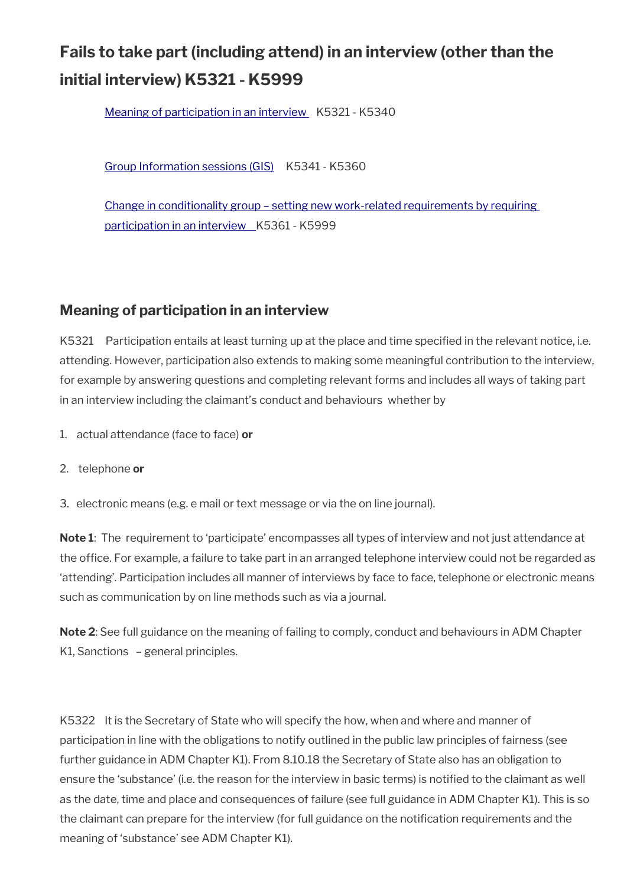# **Fails to take part (including attend) in an interview (other than the initial interview) K5321 - K5999**

[Meaning of participation](#page-46-0) in an interview K5321 - K5340

Group Information sessions (GIS) K5341 - K5360

[Change in conditionality group – setting new work-related requirements by requiring](#page-49-0)  [participation in an interview](#page-49-0) K5361 - K5999

## <span id="page-46-0"></span>**Meaning of participation in an interview**

K5321 Participation entails at least turning up at the place and time specifed in the relevant notice, i.e. attending. However, participation also extends to making some meaningful contribution to the interview, for example by answering questions and completing relevant forms and includes all ways of taking part in an interview including the claimant's conduct and behaviours whether by

- 1. actual attendance (face to face) **or**
- 2. telephone **or**
- 3. electronic means (e.g. e mail or text message or via the on line journal).

**Note 1**: The requirement to 'participate' encompasses all types of interview and not just attendance at the office. For example, a failure to take part in an arranged telephone interview could not be regarded as 'attending'. Participation includes all manner of interviews by face to face, telephone or electronic means such as communication by on line methods such as via a journal.

**Note 2**: See full guidance on the meaning of failing to comply, conduct and behaviours in ADM Chapter K1, Sanctions – general principles.

K5322 It is the Secretary of State who will specify the how, when and where and manner of participation in line with the obligations to notify outlined in the public law principles of fairness (see further guidance in ADM Chapter K1). From 8.10.18 the Secretary of State also has an obligation to ensure the 'substance' (i.e. the reason for the interview in basic terms) is notifed to the claimant as well as the date, time and place and consequences of failure (see full guidance in ADM Chapter K1). This is so the claimant can prepare for the interview (for full guidance on the notification requirements and the meaning of 'substance' see ADM Chapter K1).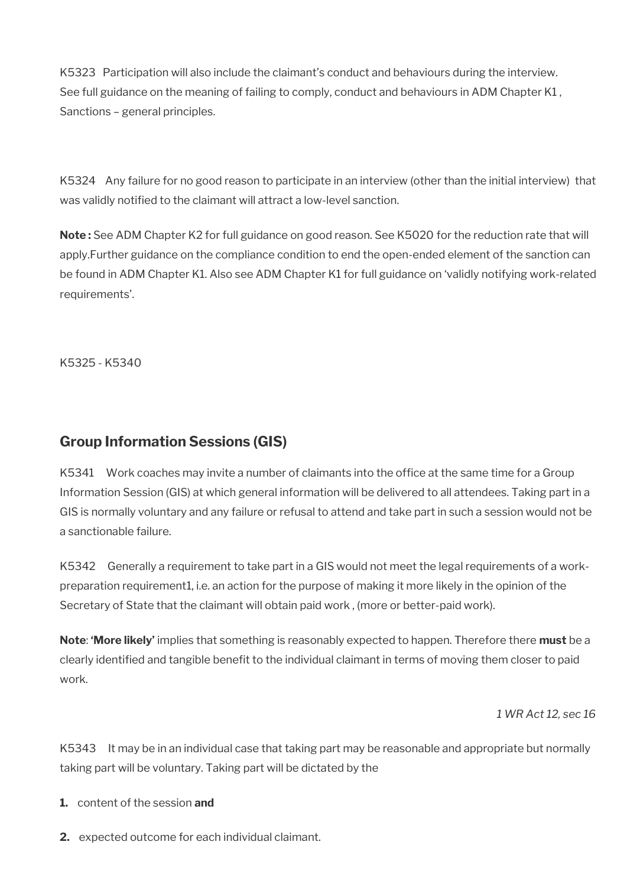K5323 Participation will also include the claimant's conduct and behaviours during the interview. See full guidance on the meaning of failing to comply, conduct and behaviours in ADM Chapter K1 , Sanctions – general principles.

K5324 Any failure for no good reason to participate in an interview (other than the initial interview) that was validly notifed to the claimant will attract a low-level sanction.

**Note :** See ADM Chapter K2 for full guidance on good reason. See K5020 for the reduction rate that will apply.Further guidance on the compliance condition to end the open-ended element of the sanction can be found in ADM Chapter K1. Also see ADM Chapter K1 for full guidance on 'validly notifying work-related requirements'.

K5325 - K5340

# **Group Information Sessions (GIS)**

K5341 Work coaches may invite a number of claimants into the office at the same time for a Group Information Session (GIS) at which general information will be delivered to all attendees. Taking part in a GIS is normally voluntary and any failure or refusal to attend and take part in such a session would not be a sanctionable failure.

K5342 Generally a requirement to take part in a GIS would not meet the legal requirements of a workpreparation requirement1, i.e. an action for the purpose of making it more likely in the opinion of the Secretary of State that the claimant will obtain paid work , (more or better-paid work).

**Note**: **'More likely'** implies that something is reasonably expected to happen. Therefore there **must** be a clearly identified and tangible benefit to the individual claimant in terms of moving them closer to paid work.

*1 WR Act 12, sec 16*

K5343 It may be in an individual case that taking part may be reasonable and appropriate but normally taking part will be voluntary. Taking part will be dictated by the

- **1.** content of the session **and**
- **2.** expected outcome for each individual claimant.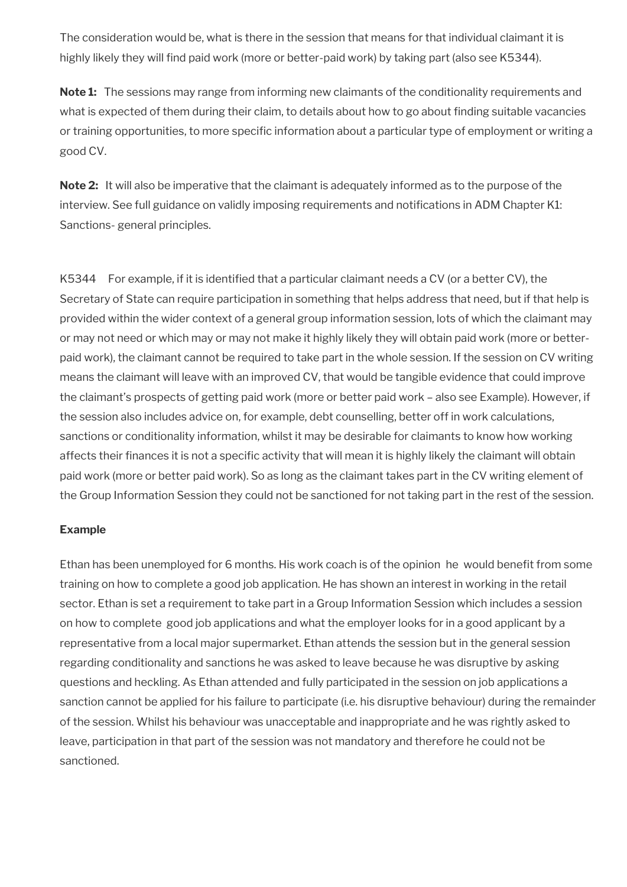The consideration would be, what is there in the session that means for that individual claimant it is highly likely they will find paid work (more or better-paid work) by taking part (also see K5344).

**Note 1:** The sessions may range from informing new claimants of the conditionality requirements and what is expected of them during their claim, to details about how to go about finding suitable vacancies or training opportunities, to more specific information about a particular type of employment or writing a good CV.

**Note 2:** It will also be imperative that the claimant is adequately informed as to the purpose of the interview. See full guidance on validly imposing requirements and notifications in ADM Chapter K1: Sanctions- general principles.

K5344 For example, if it is identified that a particular claimant needs a CV (or a better CV), the Secretary of State can require participation in something that helps address that need, but if that help is provided within the wider context of a general group information session, lots of which the claimant may or may not need or which may or may not make it highly likely they will obtain paid work (more or betterpaid work), the claimant cannot be required to take part in the whole session. If the session on CV writing means the claimant will leave with an improved CV, that would be tangible evidence that could improve the claimant's prospects of getting paid work (more or better paid work – also see Example). However, if the session also includes advice on, for example, debt counselling, better off in work calculations, sanctions or conditionality information, whilst it may be desirable for claimants to know how working affects their finances it is not a specific activity that will mean it is highly likely the claimant will obtain paid work (more or better paid work). So as long as the claimant takes part in the CV writing element of the Group Information Session they could not be sanctioned for not taking part in the rest of the session.

#### **Example**

Ethan has been unemployed for 6 months. His work coach is of the opinion he would benefit from some training on how to complete a good job application. He has shown an interest in working in the retail sector. Ethan is set a requirement to take part in a Group Information Session which includes a session on how to complete good job applications and what the employer looks for in a good applicant by a representative from a local major supermarket. Ethan attends the session but in the general session regarding conditionality and sanctions he was asked to leave because he was disruptive by asking questions and heckling. As Ethan attended and fully participated in the session on job applications a sanction cannot be applied for his failure to participate (i.e. his disruptive behaviour) during the remainder of the session. Whilst his behaviour was unacceptable and inappropriate and he was rightly asked to leave, participation in that part of the session was not mandatory and therefore he could not be sanctioned.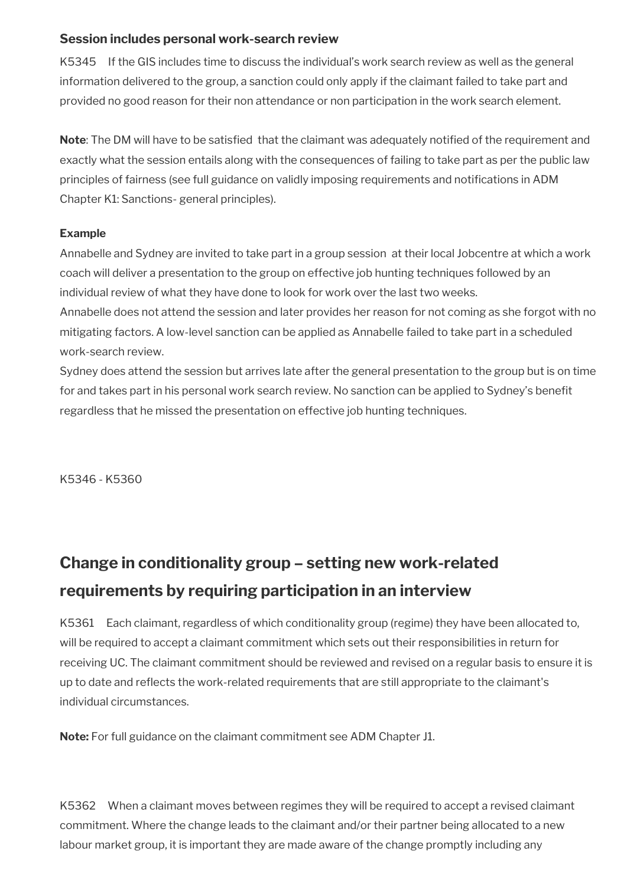#### **Session includes personal work-search review**

K5345 If the GIS includes time to discuss the individual's work search review as well as the general information delivered to the group, a sanction could only apply if the claimant failed to take part and provided no good reason for their non attendance or non participation in the work search element.

**Note**: The DM will have to be satisfed that the claimant was adequately notifed of the requirement and exactly what the session entails along with the consequences of failing to take part as per the public law principles of fairness (see full guidance on validly imposing requirements and notifcations in ADM Chapter K1: Sanctions- general principles).

#### **Example**

Annabelle and Sydney are invited to take part in a group session at their local Jobcentre at which a work coach will deliver a presentation to the group on effective job hunting techniques followed by an individual review of what they have done to look for work over the last two weeks. Annabelle does not attend the session and later provides her reason for not coming as she forgot with no mitigating factors. A low-level sanction can be applied as Annabelle failed to take part in a scheduled work-search review.

Sydney does attend the session but arrives late after the general presentation to the group but is on time for and takes part in his personal work search review. No sanction can be applied to Sydney's beneft regardless that he missed the presentation on effective job hunting techniques.

K5346 - K5360

# <span id="page-49-0"></span>**Change in conditionality group – setting new work-related requirements by requiring participation in an interview**

K5361 Each claimant, regardless of which conditionality group (regime) they have been allocated to, will be required to accept a claimant commitment which sets out their responsibilities in return for receiving UC. The claimant commitment should be reviewed and revised on a regular basis to ensure it is up to date and refects the work-related requirements that are still appropriate to the claimant's individual circumstances.

**Note:** For full guidance on the claimant commitment see ADM Chapter J1.

K5362 When a claimant moves between regimes they will be required to accept a revised claimant commitment. Where the change leads to the claimant and/or their partner being allocated to a new labour market group, it is important they are made aware of the change promptly including any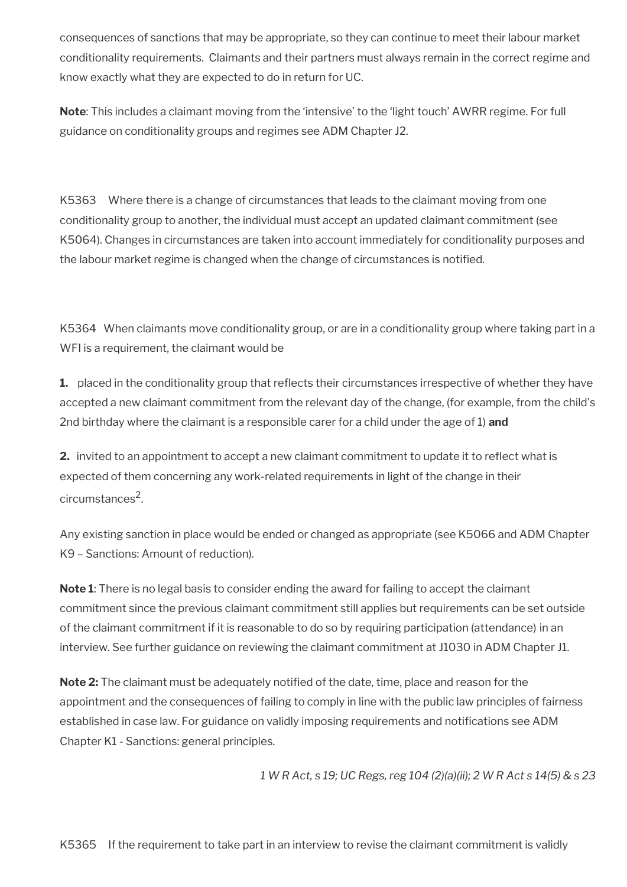consequences of sanctions that may be appropriate, so they can continue to meet their labour market conditionality requirements. Claimants and their partners must always remain in the correct regime and know exactly what they are expected to do in return for UC.

**Note**: This includes a claimant moving from the 'intensive' to the 'light touch' AWRR regime. For full guidance on conditionality groups and regimes see ADM Chapter J2.

K5363 Where there is a change of circumstances that leads to the claimant moving from one conditionality group to another, the individual must accept an updated claimant commitment (see K5064). Changes in circumstances are taken into account immediately for conditionality purposes and the labour market regime is changed when the change of circumstances is notifed.

K5364 When claimants move conditionality group, or are in a conditionality group where taking part in a WFI is a requirement, the claimant would be

**1.** placed in the conditionality group that reflects their circumstances irrespective of whether they have accepted a new claimant commitment from the relevant day of the change, (for example, from the child's 2nd birthday where the claimant is a responsible carer for a child under the age of 1) **and** 

**2.** invited to an appointment to accept a new claimant commitment to update it to reflect what is expected of them concerning any work-related requirements in light of the change in their circumstances<sup>2</sup>.

Any existing sanction in place would be ended or changed as appropriate (see K5066 and ADM Chapter K9 – Sanctions: Amount of reduction).

**Note 1**: There is no legal basis to consider ending the award for failing to accept the claimant commitment since the previous claimant commitment still applies but requirements can be set outside of the claimant commitment if it is reasonable to do so by requiring participation (attendance) in an interview. See further guidance on reviewing the claimant commitment at J1030 in ADM Chapter J1.

**Note 2:** The claimant must be adequately notified of the date, time, place and reason for the appointment and the consequences of failing to comply in line with the public law principles of fairness established in case law. For guidance on validly imposing requirements and notifications see ADM Chapter K1 - Sanctions: general principles.

*1 W R Act, s 19; UC Regs, reg 104 (2)(a)(ii); 2 W R Act s 14(5) & s 23*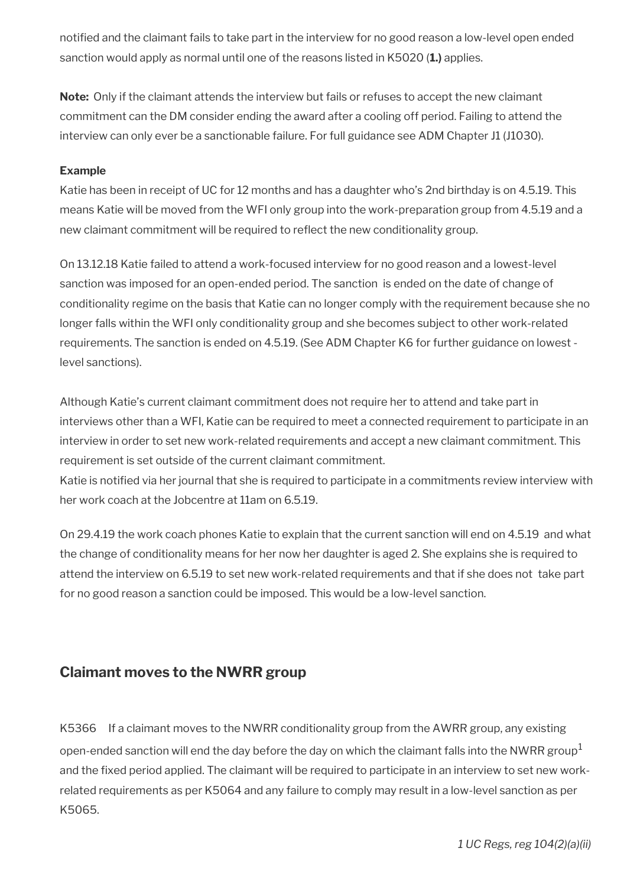notifed and the claimant fails to take part in the interview for no good reason a low-level open ended sanction would apply as normal until one of the reasons listed in K5020 (**1.)** applies.

**Note:** Only if the claimant attends the interview but fails or refuses to accept the new claimant commitment can the DM consider ending the award after a cooling off period. Failing to attend the interview can only ever be a sanctionable failure. For full guidance see ADM Chapter J1 (J1030).

#### **Example**

Katie has been in receipt of UC for 12 months and has a daughter who's 2nd birthday is on 4.5.19. This means Katie will be moved from the WFI only group into the work-preparation group from 4.5.19 and a new claimant commitment will be required to refect the new conditionality group.

On 13.12.18 Katie failed to attend a work-focused interview for no good reason and a lowest-level sanction was imposed for an open-ended period. The sanction is ended on the date of change of conditionality regime on the basis that Katie can no longer comply with the requirement because she no longer falls within the WFI only conditionality group and she becomes subject to other work-related requirements. The sanction is ended on 4.5.19. (See ADM Chapter K6 for further guidance on lowest level sanctions).

Although Katie's current claimant commitment does not require her to attend and take part in interviews other than a WFI, Katie can be required to meet a connected requirement to participate in an interview in order to set new work-related requirements and accept a new claimant commitment. This requirement is set outside of the current claimant commitment.

Katie is notifed via her journal that she is required to participate in a commitments review interview with her work coach at the Jobcentre at 11am on 6.5.19.

On 29.4.19 the work coach phones Katie to explain that the current sanction will end on 4.5.19 and what the change of conditionality means for her now her daughter is aged 2. She explains she is required to attend the interview on 6.5.19 to set new work-related requirements and that if she does not take part for no good reason a sanction could be imposed. This would be a low-level sanction.

### **Claimant moves to the NWRR group**

K5366 If a claimant moves to the NWRR conditionality group from the AWRR group, any existing open-ended sanction will end the day before the day on which the claimant falls into the NWRR group<sup>1</sup> and the fixed period applied. The claimant will be required to participate in an interview to set new workrelated requirements as per K5064 and any failure to comply may result in a low-level sanction as per K5065.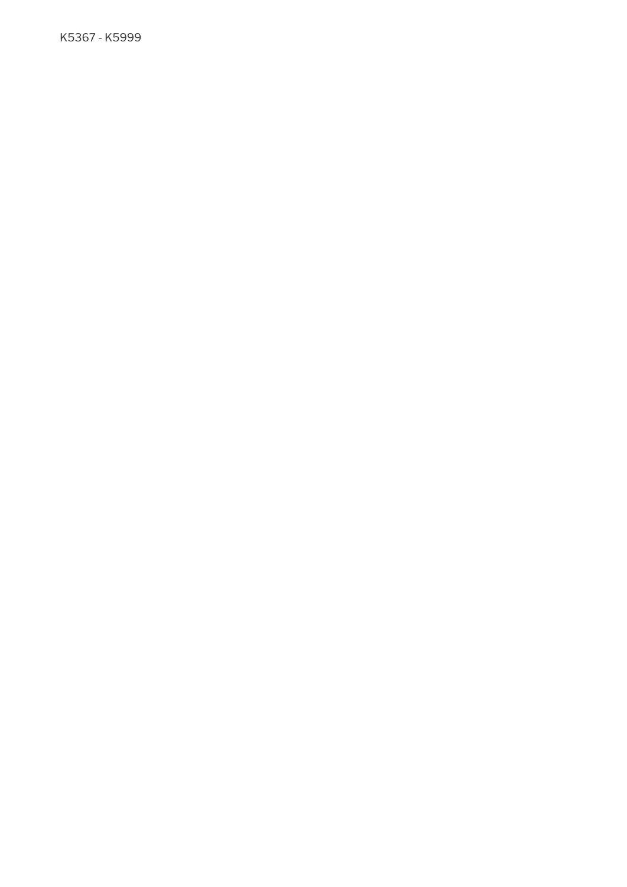K5367 - K5999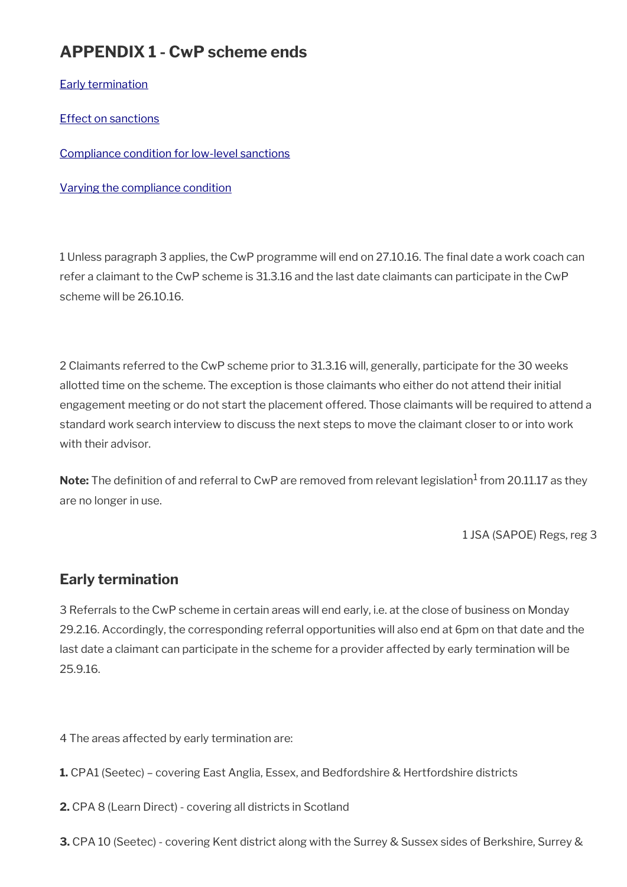# **APPENDIX 1 - CwP scheme ends**

[Early termination](#page-53-0)

[Effect on sanctions](#page-54-0)

[Compliance condition for low-level sanctions](#page-55-0)

[Varying the compliance condition](#page-56-0)

1 Unless paragraph 3 applies, the CwP programme will end on 27.10.16. The fnal date a work coach can refer a claimant to the CwP scheme is 31.3.16 and the last date claimants can participate in the CwP scheme will be 26.10.16.

2 Claimants referred to the CwP scheme prior to 31.3.16 will, generally, participate for the 30 weeks allotted time on the scheme. The exception is those claimants who either do not attend their initial engagement meeting or do not start the placement offered. Those claimants will be required to attend a standard work search interview to discuss the next steps to move the claimant closer to or into work with their advisor.

 $\mathsf{Note:}$  The definition of and referral to CwP are removed from relevant legislation $^1$  from 20.11.17 as they are no longer in use.

1 JSA (SAPOE) Regs, reg 3

## <span id="page-53-0"></span>**Early termination**

3 Referrals to the CwP scheme in certain areas will end early, i.e. at the close of business on Monday 29.2.16. Accordingly, the corresponding referral opportunities will also end at 6pm on that date and the last date a claimant can participate in the scheme for a provider affected by early termination will be 25.9.16.

4 The areas affected by early termination are:

**1.** CPA1 (Seetec) – covering East Anglia, Essex, and Bedfordshire & Hertfordshire districts

**2.** CPA 8 (Learn Direct) - covering all districts in Scotland

**3.** CPA 10 (Seetec) - covering Kent district along with the Surrey & Sussex sides of Berkshire, Surrey &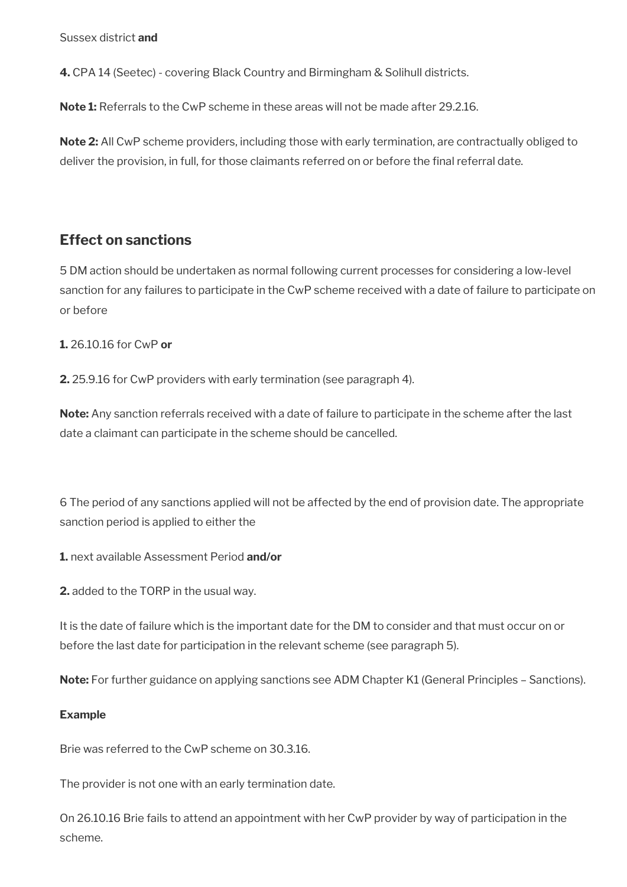**4.** CPA 14 (Seetec) - covering Black Country and Birmingham & Solihull districts.

**Note 1:** Referrals to the CwP scheme in these areas will not be made after 29.2.16.

**Note 2:** All CwP scheme providers, including those with early termination, are contractually obliged to deliver the provision, in full, for those claimants referred on or before the final referral date.

## <span id="page-54-0"></span>**Effect on sanctions**

5 DM action should be undertaken as normal following current processes for considering a low-level sanction for any failures to participate in the CwP scheme received with a date of failure to participate on or before

#### **1.** 26.10.16 for CwP **or**

**2.** 25.9.16 for CwP providers with early termination (see paragraph 4).

**Note:** Any sanction referrals received with a date of failure to participate in the scheme after the last date a claimant can participate in the scheme should be cancelled.

6 The period of any sanctions applied will not be affected by the end of provision date. The appropriate sanction period is applied to either the

**1.** next available Assessment Period **and/or**

**2.** added to the TORP in the usual way.

It is the date of failure which is the important date for the DM to consider and that must occur on or before the last date for participation in the relevant scheme (see paragraph 5).

**Note:** For further guidance on applying sanctions see ADM Chapter K1 (General Principles – Sanctions).

#### **Example**

Brie was referred to the CwP scheme on 30.3.16.

The provider is not one with an early termination date.

On 26.10.16 Brie fails to attend an appointment with her CwP provider by way of participation in the scheme.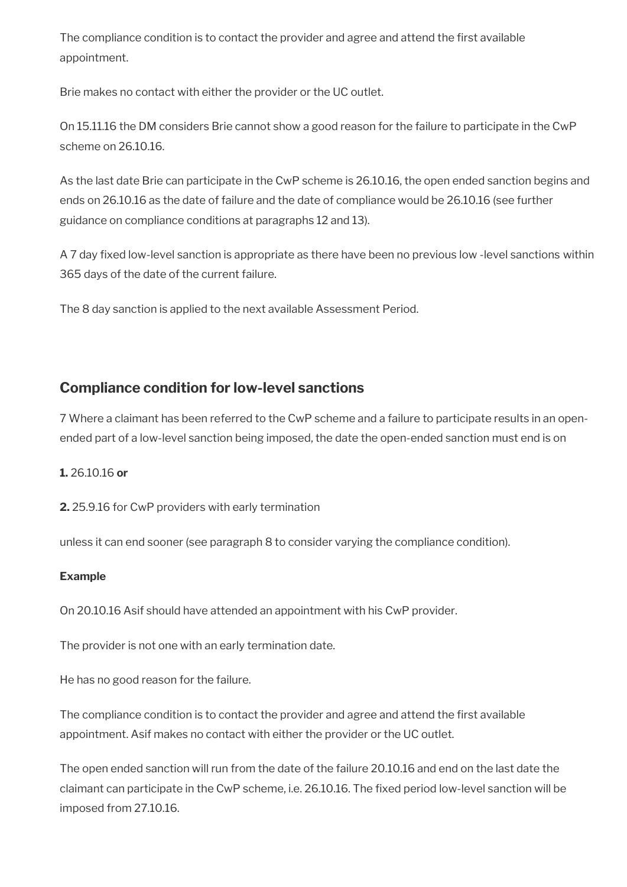The compliance condition is to contact the provider and agree and attend the frst available appointment.

Brie makes no contact with either the provider or the UC outlet.

On 15.11.16 the DM considers Brie cannot show a good reason for the failure to participate in the CwP scheme on 26.10.16.

As the last date Brie can participate in the CwP scheme is 26.10.16, the open ended sanction begins and ends on 26.10.16 as the date of failure and the date of compliance would be 26.10.16 (see further guidance on compliance conditions at paragraphs 12 and 13).

A 7 day fixed low-level sanction is appropriate as there have been no previous low-level sanctions within 365 days of the date of the current failure.

The 8 day sanction is applied to the next available Assessment Period.

# <span id="page-55-0"></span>**Compliance condition for low-level sanctions**

7 Where a claimant has been referred to the CwP scheme and a failure to participate results in an openended part of a low-level sanction being imposed, the date the open-ended sanction must end is on

#### **1.** 26.10.16 **or**

#### **2.** 25.9.16 for CwP providers with early termination

unless it can end sooner (see paragraph 8 to consider varying the compliance condition).

#### **Example**

On 20.10.16 Asif should have attended an appointment with his CwP provider.

The provider is not one with an early termination date.

He has no good reason for the failure.

The compliance condition is to contact the provider and agree and attend the first available appointment. Asif makes no contact with either the provider or the UC outlet.

The open ended sanction will run from the date of the failure 20.10.16 and end on the last date the claimant can participate in the CwP scheme, i.e. 26.10.16. The fixed period low-level sanction will be imposed from 27.10.16.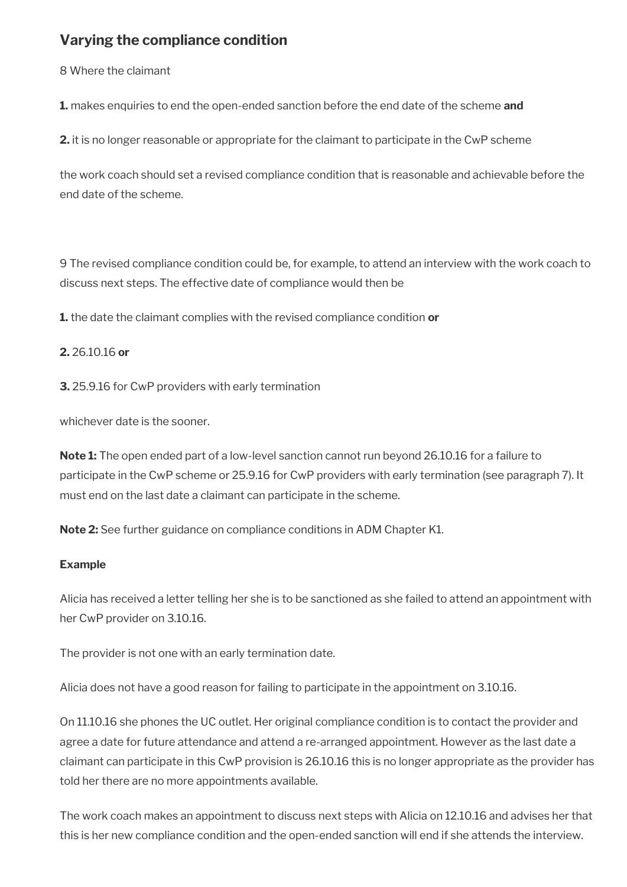## <span id="page-56-0"></span>**Varying the compliance condition**

8 Where the claimant

**1.** makes enquiries to end the open-ended sanction before the end date of the scheme **and** 

**2.** it is no longer reasonable or appropriate for the claimant to participate in the CwP scheme

the work coach should set a revised compliance condition that is reasonable and achievable before the end date of the scheme.

9 The revised compliance condition could be, for example, to attend an interview with the work coach to discuss next steps. The effective date of compliance would then be

**1.** the date the claimant complies with the revised compliance condition **or**

#### **2.** 26.10.16 **or**

**3.** 25.9.16 for CwP providers with early termination

whichever date is the sooner.

**Note 1:** The open ended part of a low-level sanction cannot run beyond 26.10.16 for a failure to participate in the CwP scheme or 25.9.16 for CwP providers with early termination (see paragraph 7). It must end on the last date a claimant can participate in the scheme.

**Note 2:** See further guidance on compliance conditions in ADM Chapter K1.

#### **Example**

Alicia has received a letter telling her she is to be sanctioned as she failed to attend an appointment with her CwP provider on 3.10.16.

The provider is not one with an early termination date.

Alicia does not have a good reason for failing to participate in the appointment on 3.10.16.

On 11.10.16 she phones the UC outlet. Her original compliance condition is to contact the provider and agree a date for future attendance and attend a re-arranged appointment. However as the last date a claimant can participate in this CwP provision is 26.10.16 this is no longer appropriate as the provider has told her there are no more appointments available.

The work coach makes an appointment to discuss next steps with Alicia on 12.10.16 and advises her that this is her new compliance condition and the open-ended sanction will end if she attends the interview.